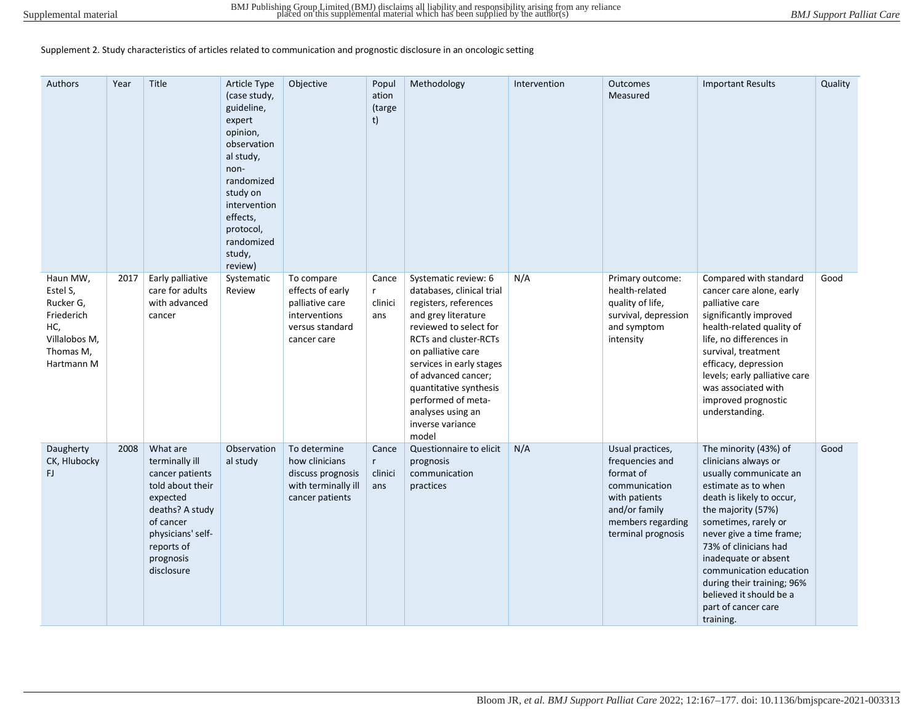Supplement 2. Study characteristics of articles related to communication and prognostic disclosure in an oncologic setting

| Authors                                                                                            | Year | Title                                                                                                                                                                       | <b>Article Type</b><br>(case study,<br>guideline,<br>expert<br>opinion,<br>observation<br>al study,<br>non-<br>randomized<br>study on<br>intervention<br>effects,<br>protocol,<br>randomized<br>study,<br>review) | Objective                                                                                            | Popul<br>ation<br>(targe<br>t)          | Methodology                                                                                                                                                                                                                                                                                                                     | Intervention | Outcomes<br>Measured                                                                                                                           | <b>Important Results</b>                                                                                                                                                                                                                                                                                                                                                       | Quality |
|----------------------------------------------------------------------------------------------------|------|-----------------------------------------------------------------------------------------------------------------------------------------------------------------------------|-------------------------------------------------------------------------------------------------------------------------------------------------------------------------------------------------------------------|------------------------------------------------------------------------------------------------------|-----------------------------------------|---------------------------------------------------------------------------------------------------------------------------------------------------------------------------------------------------------------------------------------------------------------------------------------------------------------------------------|--------------|------------------------------------------------------------------------------------------------------------------------------------------------|--------------------------------------------------------------------------------------------------------------------------------------------------------------------------------------------------------------------------------------------------------------------------------------------------------------------------------------------------------------------------------|---------|
| Haun MW,<br>Estel S,<br>Rucker G,<br>Friederich<br>HC,<br>Villalobos M,<br>Thomas M,<br>Hartmann M | 2017 | Early palliative<br>care for adults<br>with advanced<br>cancer                                                                                                              | Systematic<br>Review                                                                                                                                                                                              | To compare<br>effects of early<br>palliative care<br>interventions<br>versus standard<br>cancer care | Cance<br>$\mathsf{r}$<br>clinici<br>ans | Systematic review: 6<br>databases, clinical trial<br>registers, references<br>and grey literature<br>reviewed to select for<br>RCTs and cluster-RCTs<br>on palliative care<br>services in early stages<br>of advanced cancer;<br>quantitative synthesis<br>performed of meta-<br>analyses using an<br>inverse variance<br>model | N/A          | Primary outcome:<br>health-related<br>quality of life,<br>survival, depression<br>and symptom<br>intensity                                     | Compared with standard<br>cancer care alone, early<br>palliative care<br>significantly improved<br>health-related quality of<br>life, no differences in<br>survival, treatment<br>efficacy, depression<br>levels; early palliative care<br>was associated with<br>improved prognostic<br>understanding.                                                                        | Good    |
| Daugherty<br>CK, Hlubocky<br>FJ.                                                                   | 2008 | What are<br>terminally ill<br>cancer patients<br>told about their<br>expected<br>deaths? A study<br>of cancer<br>physicians' self-<br>reports of<br>prognosis<br>disclosure | Observation<br>al study                                                                                                                                                                                           | To determine<br>how clinicians<br>discuss prognosis<br>with terminally ill<br>cancer patients        | Cance<br>r<br>clinici<br>ans            | Questionnaire to elicit<br>prognosis<br>communication<br>practices                                                                                                                                                                                                                                                              | N/A          | Usual practices,<br>frequencies and<br>format of<br>communication<br>with patients<br>and/or family<br>members regarding<br>terminal prognosis | The minority (43%) of<br>clinicians always or<br>usually communicate an<br>estimate as to when<br>death is likely to occur,<br>the majority (57%)<br>sometimes, rarely or<br>never give a time frame;<br>73% of clinicians had<br>inadequate or absent<br>communication education<br>during their training; 96%<br>believed it should be a<br>part of cancer care<br>training. | Good    |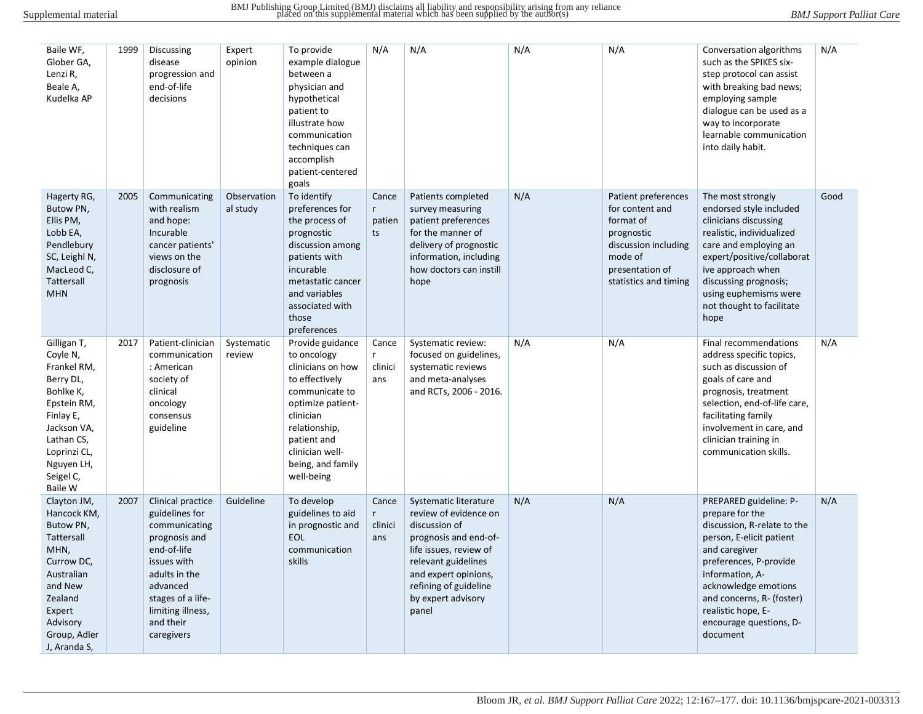| Baile WF,<br>Glober GA,<br>Lenzi R,<br>Beale A,<br>Kudelka AP                                                                                                                   | 1999 | Discussing<br>disease<br>progression and<br>end-of-life<br>decisions                                                                                                                                  | Expert<br>opinion       | To provide<br>example dialogue<br>between a<br>physician and<br>hypothetical<br>patient to<br>illustrate how<br>communication<br>techniques can<br>accomplish<br>patient-centered<br>goals                       | N/A                           | N/A                                                                                                                                                                                                                       | N/A | N/A                                                                                                                                              | Conversation algorithms<br>such as the SPIKES six-<br>step protocol can assist<br>with breaking bad news;<br>employing sample<br>dialogue can be used as a<br>way to incorporate<br>learnable communication<br>into daily habit.                                                     | N/A  |
|---------------------------------------------------------------------------------------------------------------------------------------------------------------------------------|------|-------------------------------------------------------------------------------------------------------------------------------------------------------------------------------------------------------|-------------------------|------------------------------------------------------------------------------------------------------------------------------------------------------------------------------------------------------------------|-------------------------------|---------------------------------------------------------------------------------------------------------------------------------------------------------------------------------------------------------------------------|-----|--------------------------------------------------------------------------------------------------------------------------------------------------|--------------------------------------------------------------------------------------------------------------------------------------------------------------------------------------------------------------------------------------------------------------------------------------|------|
| Hagerty RG,<br>Butow PN,<br>Ellis PM,<br>Lobb EA,<br>Pendlebury<br>SC, Leighl N,<br>MacLeod C,<br>Tattersall<br><b>MHN</b>                                                      | 2005 | Communicating<br>with realism<br>and hope:<br>Incurable<br>cancer patients'<br>views on the<br>disclosure of<br>prognosis                                                                             | Observation<br>al study | To identify<br>preferences for<br>the process of<br>prognostic<br>discussion among<br>patients with<br>incurable<br>metastatic cancer<br>and variables<br>associated with<br>those<br>preferences                | Cance<br>r<br>patien<br>ts    | Patients completed<br>survey measuring<br>patient preferences<br>for the manner of<br>delivery of prognostic<br>information, including<br>how doctors can instill<br>hope                                                 | N/A | Patient preferences<br>for content and<br>format of<br>prognostic<br>discussion including<br>mode of<br>presentation of<br>statistics and timing | The most strongly<br>endorsed style included<br>clinicians discussing<br>realistic, individualized<br>care and employing an<br>expert/positive/collaborat<br>ive approach when<br>discussing prognosis;<br>using euphemisms were<br>not thought to facilitate<br>hope                | Good |
| Gilligan T,<br>Coyle N,<br>Frankel RM,<br>Berry DL,<br>Bohlke K,<br>Epstein RM,<br>Finlay E,<br>Jackson VA,<br>Lathan CS,<br>Loprinzi CL,<br>Nguyen LH,<br>Seigel C,<br>Baile W | 2017 | Patient-clinician<br>communication<br>: American<br>society of<br>clinical<br>oncology<br>consensus<br>guideline                                                                                      | Systematic<br>review    | Provide guidance<br>to oncology<br>clinicians on how<br>to effectively<br>communicate to<br>optimize patient-<br>clinician<br>relationship,<br>patient and<br>clinician well-<br>being, and family<br>well-being | Cance<br>r.<br>clinici<br>ans | Systematic review:<br>focused on guidelines,<br>systematic reviews<br>and meta-analyses<br>and RCTs, 2006 - 2016.                                                                                                         | N/A | N/A                                                                                                                                              | Final recommendations<br>address specific topics,<br>such as discussion of<br>goals of care and<br>prognosis, treatment<br>selection, end-of-life care,<br>facilitating family<br>involvement in care, and<br>clinician training in<br>communication skills.                         | N/A  |
| Clayton JM,<br>Hancock KM,<br>Butow PN,<br>Tattersall<br>MHN,<br>Currow DC,<br>Australian<br>and New<br>Zealand<br>Expert<br>Advisory<br>Group, Adler<br>J, Aranda S,           | 2007 | Clinical practice<br>guidelines for<br>communicating<br>prognosis and<br>end-of-life<br>issues with<br>adults in the<br>advanced<br>stages of a life-<br>limiting illness,<br>and their<br>caregivers | Guideline               | To develop<br>guidelines to aid<br>in prognostic and<br>EOL<br>communication<br>skills                                                                                                                           | Cance<br>r<br>clinici<br>ans  | Systematic literature<br>review of evidence on<br>discussion of<br>prognosis and end-of-<br>life issues, review of<br>relevant guidelines<br>and expert opinions,<br>refining of guideline<br>by expert advisory<br>panel | N/A | N/A                                                                                                                                              | PREPARED guideline: P-<br>prepare for the<br>discussion, R-relate to the<br>person, E-elicit patient<br>and caregiver<br>preferences, P-provide<br>information, A-<br>acknowledge emotions<br>and concerns, R- (foster)<br>realistic hope, E-<br>encourage questions, D-<br>document | N/A  |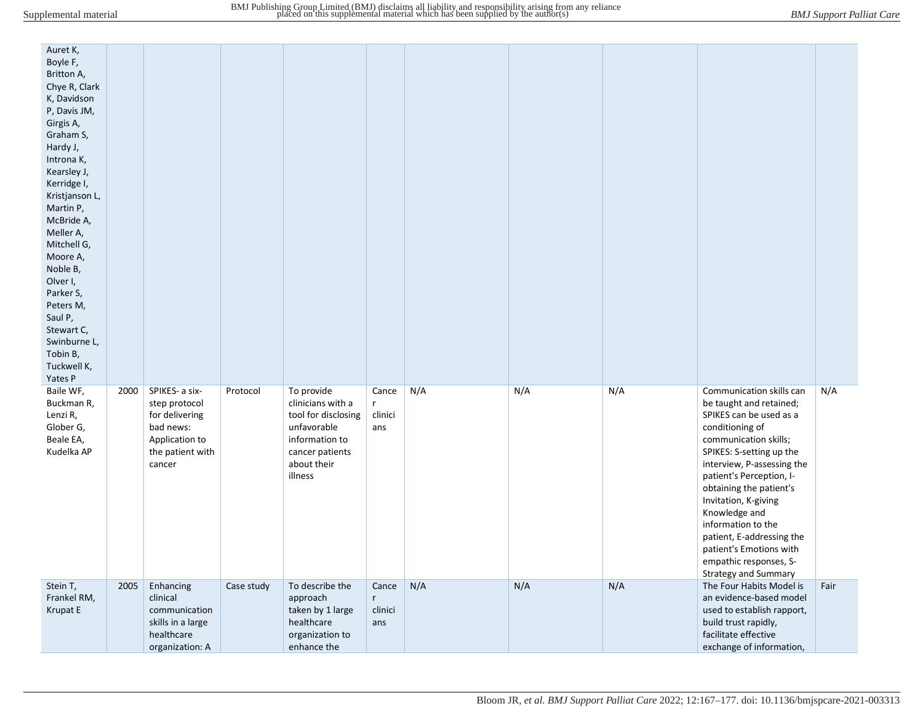| Auret K,<br>Boyle F,<br>Britton A,<br>Chye R, Clark<br>K, Davidson<br>P, Davis JM,<br>Girgis A,<br>Graham S,<br>Hardy J,<br>Introna K,<br>Kearsley J,<br>Kerridge I,<br>Kristjanson L,<br>Martin P,<br>McBride A,<br>Meller A,<br>Mitchell G,<br>Moore A,<br>Noble B,<br>Olver I,<br>Parker S,<br>Peters M,<br>Saul P,<br>Stewart C,<br>Swinburne L,<br>Tobin B,<br>Tuckwell K,<br>Yates P |      |                                                                                                                |            |                                                                                                                                      |                                            |     |     |     |                                                                                                                                                                                                                                                                                                                                                                                                                             |      |
|--------------------------------------------------------------------------------------------------------------------------------------------------------------------------------------------------------------------------------------------------------------------------------------------------------------------------------------------------------------------------------------------|------|----------------------------------------------------------------------------------------------------------------|------------|--------------------------------------------------------------------------------------------------------------------------------------|--------------------------------------------|-----|-----|-----|-----------------------------------------------------------------------------------------------------------------------------------------------------------------------------------------------------------------------------------------------------------------------------------------------------------------------------------------------------------------------------------------------------------------------------|------|
| Baile WF,<br>Buckman R,<br>Lenzi R,<br>Glober G,<br>Beale EA,<br>Kudelka AP                                                                                                                                                                                                                                                                                                                | 2000 | SPIKES- a six-<br>step protocol<br>for delivering<br>bad news:<br>Application to<br>the patient with<br>cancer | Protocol   | To provide<br>clinicians with a<br>tool for disclosing<br>unfavorable<br>information to<br>cancer patients<br>about their<br>illness | Cance<br>r<br>clinici<br>ans               | N/A | N/A | N/A | Communication skills can<br>be taught and retained;<br>SPIKES can be used as a<br>conditioning of<br>communication skills;<br>SPIKES: S-setting up the<br>interview, P-assessing the<br>patient's Perception, I-<br>obtaining the patient's<br>Invitation, K-giving<br>Knowledge and<br>information to the<br>patient, E-addressing the<br>patient's Emotions with<br>empathic responses, S-<br><b>Strategy and Summary</b> | N/A  |
| Stein T,<br>Frankel RM,<br>Krupat E                                                                                                                                                                                                                                                                                                                                                        | 2005 | Enhancing<br>clinical<br>communication<br>skills in a large<br>healthcare<br>organization: A                   | Case study | To describe the<br>approach<br>taken by 1 large<br>healthcare<br>organization to<br>enhance the                                      | Cance<br>$r_{\parallel}$<br>clinici<br>ans | N/A | N/A | N/A | The Four Habits Model is<br>an evidence-based model<br>used to establish rapport,<br>build trust rapidly,<br>facilitate effective<br>exchange of information,                                                                                                                                                                                                                                                               | Fair |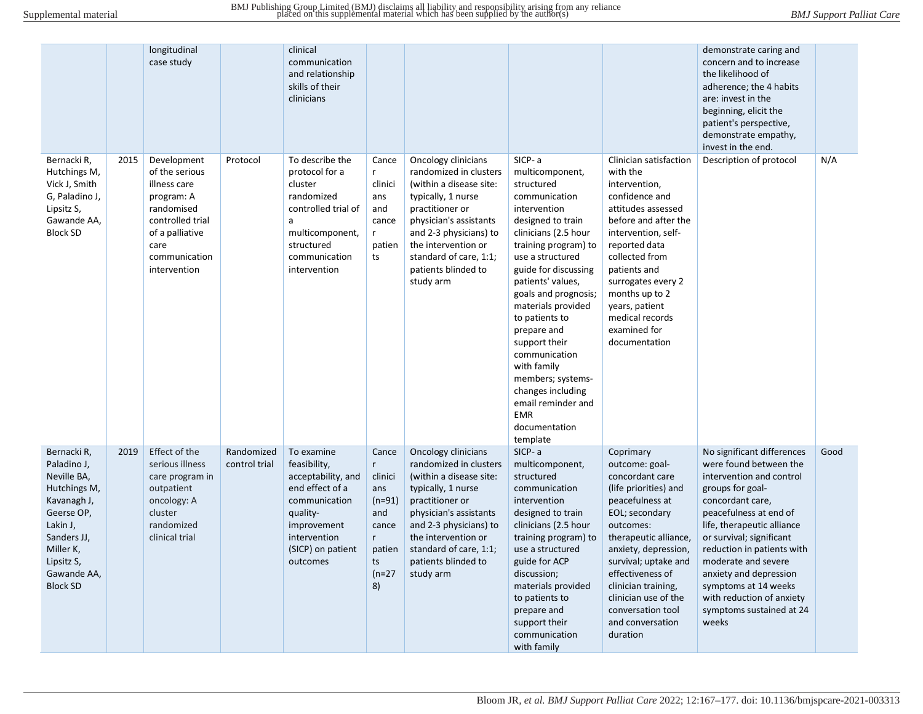|                                                                                                                                                                                |      | longitudinal<br>case study                                                                                                                                |                             | clinical<br>communication<br>and relationship<br>skills of their<br>clinicians                                                                                   |                                                                                                                 |                                                                                                                                                                                                                                                            |                                                                                                                                                                                                                                                                                                                                                                                                                                                           |                                                                                                                                                                                                                                                                                                                            | demonstrate caring and<br>concern and to increase<br>the likelihood of<br>adherence; the 4 habits<br>are: invest in the<br>beginning, elicit the<br>patient's perspective,<br>demonstrate empathy,<br>invest in the end.                                                                                                                                                              |      |
|--------------------------------------------------------------------------------------------------------------------------------------------------------------------------------|------|-----------------------------------------------------------------------------------------------------------------------------------------------------------|-----------------------------|------------------------------------------------------------------------------------------------------------------------------------------------------------------|-----------------------------------------------------------------------------------------------------------------|------------------------------------------------------------------------------------------------------------------------------------------------------------------------------------------------------------------------------------------------------------|-----------------------------------------------------------------------------------------------------------------------------------------------------------------------------------------------------------------------------------------------------------------------------------------------------------------------------------------------------------------------------------------------------------------------------------------------------------|----------------------------------------------------------------------------------------------------------------------------------------------------------------------------------------------------------------------------------------------------------------------------------------------------------------------------|---------------------------------------------------------------------------------------------------------------------------------------------------------------------------------------------------------------------------------------------------------------------------------------------------------------------------------------------------------------------------------------|------|
| Bernacki R,<br>Hutchings M,<br>Vick J, Smith<br>G, Paladino J,<br>Lipsitz S,<br>Gawande AA,<br><b>Block SD</b>                                                                 | 2015 | Development<br>of the serious<br>illness care<br>program: A<br>randomised<br>controlled trial<br>of a palliative<br>care<br>communication<br>intervention | Protocol                    | To describe the<br>protocol for a<br>cluster<br>randomized<br>controlled trial of<br>a<br>multicomponent,<br>structured<br>communication<br>intervention         | Cance<br>r<br>clinici<br>ans<br>and<br>cance<br>r<br>patien<br>ts                                               | Oncology clinicians<br>randomized in clusters<br>(within a disease site:<br>typically, 1 nurse<br>practitioner or<br>physician's assistants<br>and 2-3 physicians) to<br>the intervention or<br>standard of care, 1:1;<br>patients blinded to<br>study arm | SICP-a<br>multicomponent,<br>structured<br>communication<br>intervention<br>designed to train<br>clinicians (2.5 hour<br>training program) to<br>use a structured<br>guide for discussing<br>patients' values,<br>goals and prognosis;<br>materials provided<br>to patients to<br>prepare and<br>support their<br>communication<br>with family<br>members; systems-<br>changes including<br>email reminder and<br><b>EMR</b><br>documentation<br>template | Clinician satisfaction<br>with the<br>intervention,<br>confidence and<br>attitudes assessed<br>before and after the<br>intervention, self-<br>reported data<br>collected from<br>patients and<br>surrogates every 2<br>months up to 2<br>years, patient<br>medical records<br>examined for<br>documentation                | Description of protocol                                                                                                                                                                                                                                                                                                                                                               | N/A  |
| Bernacki R,<br>Paladino J,<br>Neville BA,<br>Hutchings M,<br>Kavanagh J,<br>Geerse OP,<br>Lakin J,<br>Sanders JJ,<br>Miller K,<br>Lipsitz S,<br>Gawande AA,<br><b>Block SD</b> | 2019 | Effect of the<br>serious illness<br>care program in<br>outpatient<br>oncology: A<br>cluster<br>randomized<br>clinical trial                               | Randomized<br>control trial | To examine<br>feasibility,<br>acceptability, and<br>end effect of a<br>communication<br>quality-<br>improvement<br>intervention<br>(SICP) on patient<br>outcomes | Cance<br>$r_{\rm}$<br>clinici<br>ans<br>$(n=91)$<br>and<br>cance<br>$r_{\rm}$<br>patien<br>ts<br>$(n=27)$<br>8) | Oncology clinicians<br>randomized in clusters<br>(within a disease site:<br>typically, 1 nurse<br>practitioner or<br>physician's assistants<br>and 2-3 physicians) to<br>the intervention or<br>standard of care, 1:1;<br>patients blinded to<br>study arm | SICP-a<br>multicomponent,<br>structured<br>communication<br>intervention<br>designed to train<br>clinicians (2.5 hour<br>training program) to<br>use a structured<br>guide for ACP<br>discussion;<br>materials provided<br>to patients to<br>prepare and<br>support their<br>communication<br>with family                                                                                                                                                 | Coprimary<br>outcome: goal-<br>concordant care<br>(life priorities) and<br>peacefulness at<br>EOL; secondary<br>outcomes:<br>therapeutic alliance,<br>anxiety, depression,<br>survival; uptake and<br>effectiveness of<br>clinician training,<br>clinician use of the<br>conversation tool<br>and conversation<br>duration | No significant differences<br>were found between the<br>intervention and control<br>groups for goal-<br>concordant care,<br>peacefulness at end of<br>life, therapeutic alliance<br>or survival; significant<br>reduction in patients with<br>moderate and severe<br>anxiety and depression<br>symptoms at 14 weeks<br>with reduction of anxiety<br>symptoms sustained at 24<br>weeks | Good |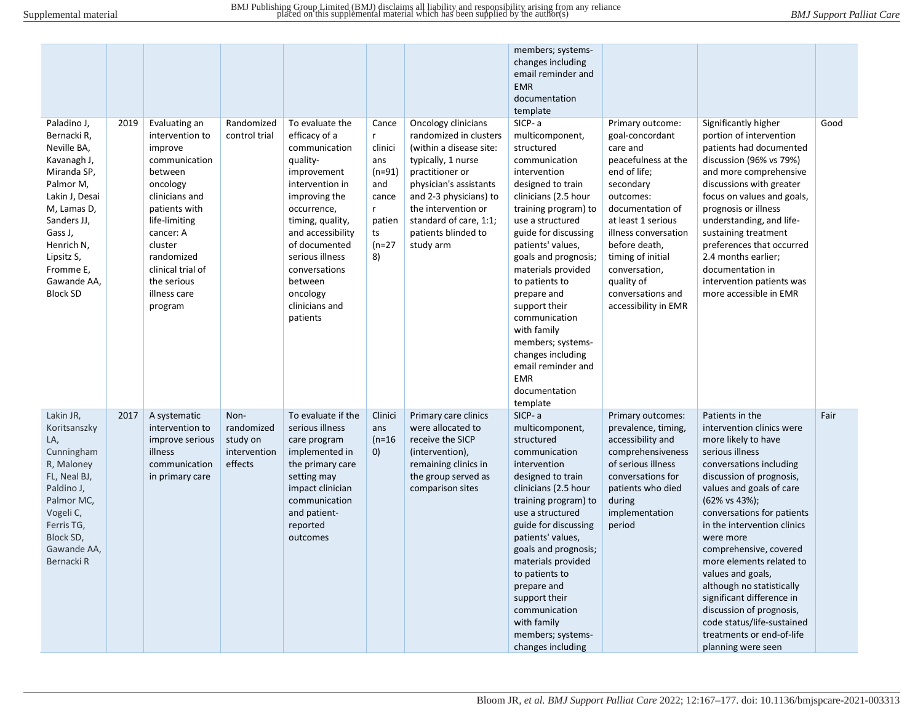|                                                                                                                                                                                                                            |      |                                                                                                                                                                                                                                              |                                                           |                                                                                                                                                                                                                                                                                    |                                                                                                  |                                                                                                                                                                                                                                                            | members; systems-<br>changes including<br>email reminder and<br><b>EMR</b><br>documentation<br>template                                                                                                                                                                                                                                                                                                                                                   |                                                                                                                                                                                                                                                                                                      |                                                                                                                                                                                                                                                                                                                                                                                                                                                                                                                        |      |
|----------------------------------------------------------------------------------------------------------------------------------------------------------------------------------------------------------------------------|------|----------------------------------------------------------------------------------------------------------------------------------------------------------------------------------------------------------------------------------------------|-----------------------------------------------------------|------------------------------------------------------------------------------------------------------------------------------------------------------------------------------------------------------------------------------------------------------------------------------------|--------------------------------------------------------------------------------------------------|------------------------------------------------------------------------------------------------------------------------------------------------------------------------------------------------------------------------------------------------------------|-----------------------------------------------------------------------------------------------------------------------------------------------------------------------------------------------------------------------------------------------------------------------------------------------------------------------------------------------------------------------------------------------------------------------------------------------------------|------------------------------------------------------------------------------------------------------------------------------------------------------------------------------------------------------------------------------------------------------------------------------------------------------|------------------------------------------------------------------------------------------------------------------------------------------------------------------------------------------------------------------------------------------------------------------------------------------------------------------------------------------------------------------------------------------------------------------------------------------------------------------------------------------------------------------------|------|
| Paladino J,<br>Bernacki R,<br>Neville BA,<br>Kavanagh J,<br>Miranda SP,<br>Palmor M,<br>Lakin J, Desai<br>M, Lamas D,<br>Sanders JJ,<br>Gass J,<br>Henrich N,<br>Lipsitz S,<br>Fromme E,<br>Gawande AA,<br><b>Block SD</b> | 2019 | Evaluating an<br>intervention to<br>improve<br>communication<br>between<br>oncology<br>clinicians and<br>patients with<br>life-limiting<br>cancer: A<br>cluster<br>randomized<br>clinical trial of<br>the serious<br>illness care<br>program | Randomized<br>control trial                               | To evaluate the<br>efficacy of a<br>communication<br>quality-<br>improvement<br>intervention in<br>improving the<br>occurrence,<br>timing, quality,<br>and accessibility<br>of documented<br>serious illness<br>conversations<br>between<br>oncology<br>clinicians and<br>patients | Cance<br>r.<br>clinici<br>ans<br>$(n=91)$<br>and<br>cance<br>r<br>patien<br>ts<br>$(n=27)$<br>8) | Oncology clinicians<br>randomized in clusters<br>(within a disease site:<br>typically, 1 nurse<br>practitioner or<br>physician's assistants<br>and 2-3 physicians) to<br>the intervention or<br>standard of care, 1:1;<br>patients blinded to<br>study arm | SICP-a<br>multicomponent,<br>structured<br>communication<br>intervention<br>designed to train<br>clinicians (2.5 hour<br>training program) to<br>use a structured<br>guide for discussing<br>patients' values,<br>goals and prognosis;<br>materials provided<br>to patients to<br>prepare and<br>support their<br>communication<br>with family<br>members; systems-<br>changes including<br>email reminder and<br><b>EMR</b><br>documentation<br>template | Primary outcome:<br>goal-concordant<br>care and<br>peacefulness at the<br>end of life;<br>secondary<br>outcomes:<br>documentation of<br>at least 1 serious<br>illness conversation<br>before death,<br>timing of initial<br>conversation,<br>quality of<br>conversations and<br>accessibility in EMR | Significantly higher<br>portion of intervention<br>patients had documented<br>discussion (96% vs 79%)<br>and more comprehensive<br>discussions with greater<br>focus on values and goals,<br>prognosis or illness<br>understanding, and life-<br>sustaining treatment<br>preferences that occurred<br>2.4 months earlier;<br>documentation in<br>intervention patients was<br>more accessible in EMR                                                                                                                   | Good |
| Lakin JR,<br>Koritsanszky<br>LA,<br>Cunningham<br>R, Maloney<br>FL, Neal BJ,<br>Paldino J,<br>Palmor MC,<br>Vogeli C,<br>Ferris TG,<br>Block SD,<br>Gawande AA,<br>Bernacki R                                              | 2017 | A systematic<br>intervention to<br>improve serious<br>illness<br>communication<br>in primary care                                                                                                                                            | Non-<br>randomized<br>study on<br>intervention<br>effects | To evaluate if the<br>serious illness<br>care program<br>implemented in<br>the primary care<br>setting may<br>impact clinician<br>communication<br>and patient-<br>reported<br>outcomes                                                                                            | Clinici<br>ans<br>$(n=16)$<br>0)                                                                 | Primary care clinics<br>were allocated to<br>receive the SICP<br>(intervention),<br>remaining clinics in<br>the group served as<br>comparison sites                                                                                                        | SICP-a<br>multicomponent,<br>structured<br>communication<br>intervention<br>designed to train<br>clinicians (2.5 hour<br>training program) to<br>use a structured<br>guide for discussing<br>patients' values,<br>goals and prognosis;<br>materials provided<br>to patients to<br>prepare and<br>support their<br>communication<br>with family<br>members; systems-<br>changes including                                                                  | Primary outcomes:<br>prevalence, timing,<br>accessibility and<br>comprehensiveness<br>of serious illness<br>conversations for<br>patients who died<br>during<br>implementation<br>period                                                                                                             | Patients in the<br>intervention clinics were<br>more likely to have<br>serious illness<br>conversations including<br>discussion of prognosis,<br>values and goals of care<br>(62% vs 43%);<br>conversations for patients<br>in the intervention clinics<br>were more<br>comprehensive, covered<br>more elements related to<br>values and goals,<br>although no statistically<br>significant difference in<br>discussion of prognosis,<br>code status/life-sustained<br>treatments or end-of-life<br>planning were seen | Fair |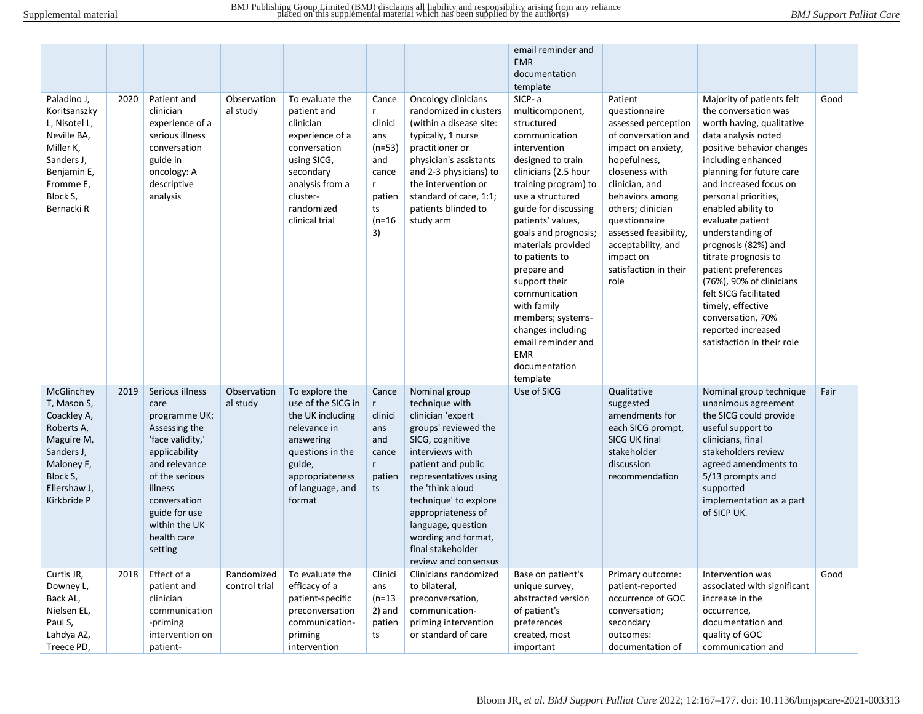|                                                                                                                                              |      |                                                                                                                                                                                                                          |                             |                                                                                                                                                                           |                                                                                                 |                                                                                                                                                                                                                                                                                                                                | email reminder and<br><b>EMR</b><br>documentation<br>template                                                                                                                                                                                                                                                                                                                                                                                             |                                                                                                                                                                                                                                                                                                        |                                                                                                                                                                                                                                                                                                                                                                                                                                                                                                                               |      |
|----------------------------------------------------------------------------------------------------------------------------------------------|------|--------------------------------------------------------------------------------------------------------------------------------------------------------------------------------------------------------------------------|-----------------------------|---------------------------------------------------------------------------------------------------------------------------------------------------------------------------|-------------------------------------------------------------------------------------------------|--------------------------------------------------------------------------------------------------------------------------------------------------------------------------------------------------------------------------------------------------------------------------------------------------------------------------------|-----------------------------------------------------------------------------------------------------------------------------------------------------------------------------------------------------------------------------------------------------------------------------------------------------------------------------------------------------------------------------------------------------------------------------------------------------------|--------------------------------------------------------------------------------------------------------------------------------------------------------------------------------------------------------------------------------------------------------------------------------------------------------|-------------------------------------------------------------------------------------------------------------------------------------------------------------------------------------------------------------------------------------------------------------------------------------------------------------------------------------------------------------------------------------------------------------------------------------------------------------------------------------------------------------------------------|------|
| Paladino J,<br>Koritsanszky<br>L, Nisotel L,<br>Neville BA,<br>Miller K,<br>Sanders J,<br>Benjamin E,<br>Fromme E,<br>Block S,<br>Bernacki R | 2020 | Patient and<br>clinician<br>experience of a<br>serious illness<br>conversation<br>guide in<br>oncology: A<br>descriptive<br>analysis                                                                                     | Observation<br>al study     | To evaluate the<br>patient and<br>clinician<br>experience of a<br>conversation<br>using SICG,<br>secondary<br>analysis from a<br>cluster-<br>randomized<br>clinical trial | Cance<br>r<br>clinici<br>ans<br>$(n=53)$<br>and<br>cance<br>r<br>patien<br>ts<br>$(n=16)$<br>3) | Oncology clinicians<br>randomized in clusters<br>(within a disease site:<br>typically, 1 nurse<br>practitioner or<br>physician's assistants<br>and 2-3 physicians) to<br>the intervention or<br>standard of care, 1:1;<br>patients blinded to<br>study arm                                                                     | SICP-a<br>multicomponent,<br>structured<br>communication<br>intervention<br>designed to train<br>clinicians (2.5 hour<br>training program) to<br>use a structured<br>guide for discussing<br>patients' values,<br>goals and prognosis;<br>materials provided<br>to patients to<br>prepare and<br>support their<br>communication<br>with family<br>members; systems-<br>changes including<br>email reminder and<br><b>EMR</b><br>documentation<br>template | Patient<br>questionnaire<br>assessed perception<br>of conversation and<br>impact on anxiety,<br>hopefulness,<br>closeness with<br>clinician, and<br>behaviors among<br>others; clinician<br>questionnaire<br>assessed feasibility,<br>acceptability, and<br>impact on<br>satisfaction in their<br>role | Majority of patients felt<br>the conversation was<br>worth having, qualitative<br>data analysis noted<br>positive behavior changes<br>including enhanced<br>planning for future care<br>and increased focus on<br>personal priorities,<br>enabled ability to<br>evaluate patient<br>understanding of<br>prognosis (82%) and<br>titrate prognosis to<br>patient preferences<br>(76%), 90% of clinicians<br>felt SICG facilitated<br>timely, effective<br>conversation, 70%<br>reported increased<br>satisfaction in their role | Good |
| McGlinchey<br>T, Mason S,<br>Coackley A,<br>Roberts A,<br>Maguire M,<br>Sanders J,<br>Maloney F,<br>Block S,<br>Ellershaw J,<br>Kirkbride P  | 2019 | Serious illness<br>care<br>programme UK:<br>Assessing the<br>'face validity,'<br>applicability<br>and relevance<br>of the serious<br>illness<br>conversation<br>guide for use<br>within the UK<br>health care<br>setting | Observation<br>al study     | To explore the<br>use of the SICG in<br>the UK including<br>relevance in<br>answering<br>questions in the<br>guide,<br>appropriateness<br>of language, and<br>format      | Cance<br>r<br>clinici<br>ans<br>and<br>cance<br>$r_{\rm}$<br>patien<br>ts                       | Nominal group<br>technique with<br>clinician 'expert<br>groups' reviewed the<br>SICG, cognitive<br>interviews with<br>patient and public<br>representatives using<br>the 'think aloud<br>technique' to explore<br>appropriateness of<br>language, question<br>wording and format,<br>final stakeholder<br>review and consensus | Use of SICG                                                                                                                                                                                                                                                                                                                                                                                                                                               | Qualitative<br>suggested<br>amendments for<br>each SICG prompt,<br>SICG UK final<br>stakeholder<br>discussion<br>recommendation                                                                                                                                                                        | Nominal group technique<br>unanimous agreement<br>the SICG could provide<br>useful support to<br>clinicians, final<br>stakeholders review<br>agreed amendments to<br>5/13 prompts and<br>supported<br>implementation as a part<br>of SICP UK.                                                                                                                                                                                                                                                                                 | Fair |
| Curtis JR,<br>Downey L,<br>Back AL,<br>Nielsen EL,<br>Paul S,<br>Lahdya AZ,<br>Treece PD                                                     | 2018 | Effect of a<br>patient and<br>clinician<br>communication<br>-priming<br>intervention on<br>patient-                                                                                                                      | Randomized<br>control trial | To evaluate the<br>efficacy of a<br>patient-specific<br>preconversation<br>communication-<br>priming<br>intervention                                                      | Clinici<br>ans<br>$(n=13)$<br>2) and<br>patien<br>ts                                            | Clinicians randomized<br>to bilateral,<br>preconversation,<br>communication-<br>priming intervention<br>or standard of care                                                                                                                                                                                                    | Base on patient's<br>unique survey,<br>abstracted version<br>of patient's<br>preferences<br>created, most<br>important                                                                                                                                                                                                                                                                                                                                    | Primary outcome:<br>patient-reported<br>occurrence of GOC<br>conversation;<br>secondary<br>outcomes:<br>documentation of                                                                                                                                                                               | Intervention was<br>associated with significant<br>increase in the<br>occurrence,<br>documentation and<br>quality of GOC<br>communication and                                                                                                                                                                                                                                                                                                                                                                                 | Good |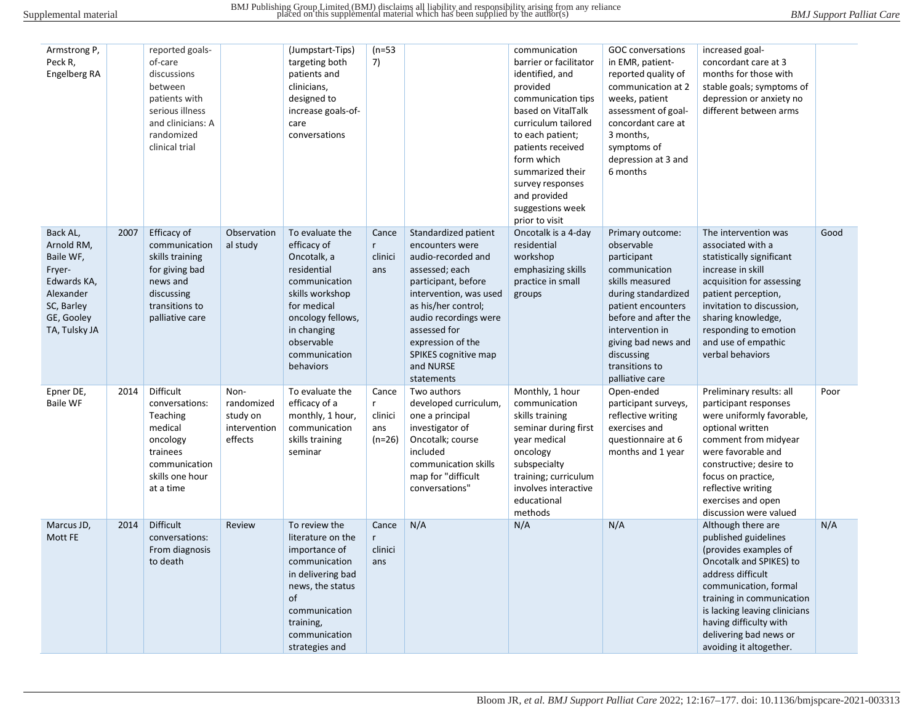| Armstrong P,<br>Peck R,<br>Engelberg RA                                                                                |      | reported goals-<br>of-care<br>discussions<br>between<br>patients with<br>serious illness<br>and clinicians: A<br>randomized<br>clinical trial |                                                           | (Jumpstart-Tips)<br>targeting both<br>patients and<br>clinicians,<br>designed to<br>increase goals-of-<br>care<br>conversations                                                                 | $(n=53)$<br>7)                           |                                                                                                                                                                                                                                                                          | communication<br>barrier or facilitator<br>identified, and<br>provided<br>communication tips<br>based on VitalTalk<br>curriculum tailored<br>to each patient;<br>patients received<br>form which<br>summarized their<br>survey responses<br>and provided<br>suggestions week<br>prior to visit | <b>GOC</b> conversations<br>in EMR, patient-<br>reported quality of<br>communication at 2<br>weeks, patient<br>assessment of goal-<br>concordant care at<br>3 months,<br>symptoms of<br>depression at 3 and<br>6 months                             | increased goal-<br>concordant care at 3<br>months for those with<br>stable goals; symptoms of<br>depression or anxiety no<br>different between arms                                                                                                                                       |      |
|------------------------------------------------------------------------------------------------------------------------|------|-----------------------------------------------------------------------------------------------------------------------------------------------|-----------------------------------------------------------|-------------------------------------------------------------------------------------------------------------------------------------------------------------------------------------------------|------------------------------------------|--------------------------------------------------------------------------------------------------------------------------------------------------------------------------------------------------------------------------------------------------------------------------|------------------------------------------------------------------------------------------------------------------------------------------------------------------------------------------------------------------------------------------------------------------------------------------------|-----------------------------------------------------------------------------------------------------------------------------------------------------------------------------------------------------------------------------------------------------|-------------------------------------------------------------------------------------------------------------------------------------------------------------------------------------------------------------------------------------------------------------------------------------------|------|
| Back AL,<br>Arnold RM,<br>Baile WF,<br>Fryer-<br>Edwards KA,<br>Alexander<br>SC, Barley<br>GE, Gooley<br>TA, Tulsky JA | 2007 | Efficacy of<br>communication<br>skills training<br>for giving bad<br>news and<br>discussing<br>transitions to<br>palliative care              | Observation<br>al study                                   | To evaluate the<br>efficacy of<br>Oncotalk, a<br>residential<br>communication<br>skills workshop<br>for medical<br>oncology fellows,<br>in changing<br>observable<br>communication<br>behaviors | Cance<br>$r_{\rm}$<br>clinici<br>ans     | Standardized patient<br>encounters were<br>audio-recorded and<br>assessed; each<br>participant, before<br>intervention, was used<br>as his/her control;<br>audio recordings were<br>assessed for<br>expression of the<br>SPIKES cognitive map<br>and NURSE<br>statements | Oncotalk is a 4-day<br>residential<br>workshop<br>emphasizing skills<br>practice in small<br>groups                                                                                                                                                                                            | Primary outcome:<br>observable<br>participant<br>communication<br>skills measured<br>during standardized<br>patient encounters<br>before and after the<br>intervention in<br>giving bad news and<br>discussing<br>transitions to<br>palliative care | The intervention was<br>associated with a<br>statistically significant<br>increase in skill<br>acquisition for assessing<br>patient perception,<br>invitation to discussion,<br>sharing knowledge,<br>responding to emotion<br>and use of empathic<br>verbal behaviors                    | Good |
| Epner DE,<br><b>Baile WF</b>                                                                                           | 2014 | Difficult<br>conversations:<br>Teaching<br>medical<br>oncology<br>trainees<br>communication<br>skills one hour<br>at a time                   | Non-<br>randomized<br>study on<br>intervention<br>effects | To evaluate the<br>efficacy of a<br>monthly, 1 hour,<br>communication<br>skills training<br>seminar                                                                                             | Cance<br>r<br>clinici<br>ans<br>$(n=26)$ | Two authors<br>developed curriculum,<br>one a principal<br>investigator of<br>Oncotalk; course<br>included<br>communication skills<br>map for "difficult<br>conversations"                                                                                               | Monthly, 1 hour<br>communication<br>skills training<br>seminar during first<br>year medical<br>oncology<br>subspecialty<br>training; curriculum<br>involves interactive<br>educational<br>methods                                                                                              | Open-ended<br>participant surveys,<br>reflective writing<br>exercises and<br>questionnaire at 6<br>months and 1 year                                                                                                                                | Preliminary results: all<br>participant responses<br>were uniformly favorable,<br>optional written<br>comment from midyear<br>were favorable and<br>constructive; desire to<br>focus on practice,<br>reflective writing<br>exercises and open<br>discussion were valued                   | Poor |
| Marcus JD,<br>Mott FE                                                                                                  | 2014 | <b>Difficult</b><br>conversations:<br>From diagnosis<br>to death                                                                              | Review                                                    | To review the<br>literature on the<br>importance of<br>communication<br>in delivering bad<br>news, the status<br>of<br>communication<br>training,<br>communication<br>strategies and            | Cance<br>r<br>clinici<br>ans             | N/A                                                                                                                                                                                                                                                                      | N/A                                                                                                                                                                                                                                                                                            | N/A                                                                                                                                                                                                                                                 | Although there are<br>published guidelines<br>(provides examples of<br>Oncotalk and SPIKES) to<br>address difficult<br>communication, formal<br>training in communication<br>is lacking leaving clinicians<br>having difficulty with<br>delivering bad news or<br>avoiding it altogether. | N/A  |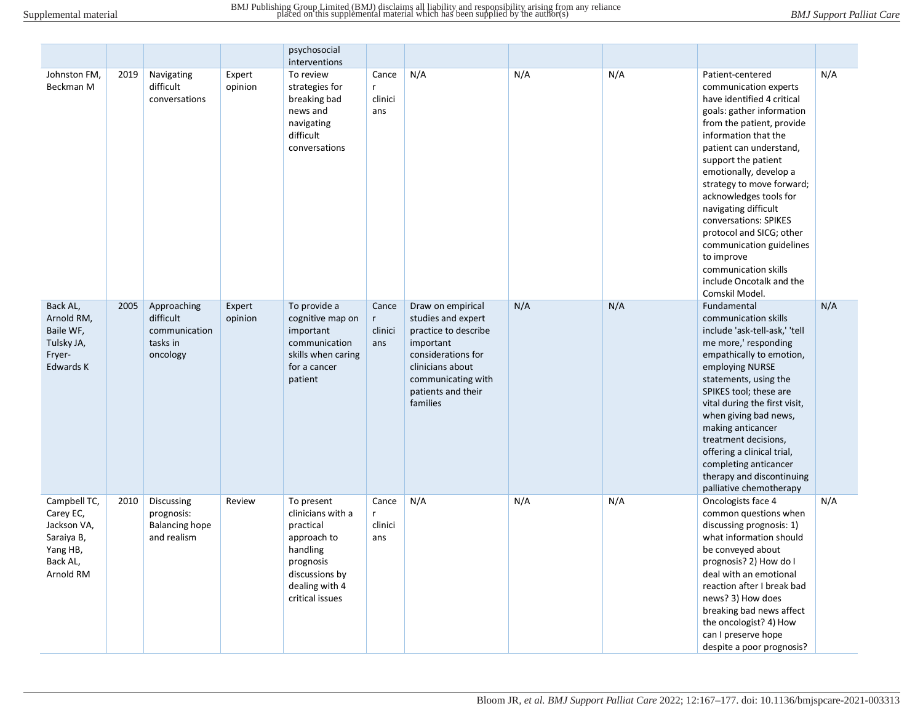|                                                                                             |      |                                                                   |                   | psychosocial<br>interventions                                                                                                               |                              |                                                                                                                                                                                |     |     |                                                                                                                                                                                                                                                                                                                                                                                                                                                                                           |     |
|---------------------------------------------------------------------------------------------|------|-------------------------------------------------------------------|-------------------|---------------------------------------------------------------------------------------------------------------------------------------------|------------------------------|--------------------------------------------------------------------------------------------------------------------------------------------------------------------------------|-----|-----|-------------------------------------------------------------------------------------------------------------------------------------------------------------------------------------------------------------------------------------------------------------------------------------------------------------------------------------------------------------------------------------------------------------------------------------------------------------------------------------------|-----|
| Johnston FM,<br>Beckman M                                                                   | 2019 | Navigating<br>difficult<br>conversations                          | Expert<br>opinion | To review<br>strategies for<br>breaking bad<br>news and<br>navigating<br>difficult<br>conversations                                         | Cance<br>r<br>clinici<br>ans | N/A                                                                                                                                                                            | N/A | N/A | Patient-centered<br>communication experts<br>have identified 4 critical<br>goals: gather information<br>from the patient, provide<br>information that the<br>patient can understand,<br>support the patient<br>emotionally, develop a<br>strategy to move forward;<br>acknowledges tools for<br>navigating difficult<br>conversations: SPIKES<br>protocol and SICG; other<br>communication guidelines<br>to improve<br>communication skills<br>include Oncotalk and the<br>Comskil Model. | N/A |
| Back AL,<br>Arnold RM,<br>Baile WF,<br>Tulsky JA,<br>Fryer-<br>Edwards K                    | 2005 | Approaching<br>difficult<br>communication<br>tasks in<br>oncology | Expert<br>opinion | To provide a<br>cognitive map on<br>important<br>communication<br>skills when caring<br>for a cancer<br>patient                             | Cance<br>r<br>clinici<br>ans | Draw on empirical<br>studies and expert<br>practice to describe<br>important<br>considerations for<br>clinicians about<br>communicating with<br>patients and their<br>families | N/A | N/A | Fundamental<br>communication skills<br>include 'ask-tell-ask,' 'tell<br>me more,' responding<br>empathically to emotion,<br>employing NURSE<br>statements, using the<br>SPIKES tool; these are<br>vital during the first visit,<br>when giving bad news,<br>making anticancer<br>treatment decisions,<br>offering a clinical trial,<br>completing anticancer<br>therapy and discontinuing<br>palliative chemotherapy                                                                      | N/A |
| Campbell TC,<br>Carey EC,<br>Jackson VA,<br>Saraiya B,<br>Yang HB,<br>Back AL,<br>Arnold RM | 2010 | Discussing<br>prognosis:<br><b>Balancing hope</b><br>and realism  | Review            | To present<br>clinicians with a<br>practical<br>approach to<br>handling<br>prognosis<br>discussions by<br>dealing with 4<br>critical issues | Cance<br>r<br>clinici<br>ans | N/A                                                                                                                                                                            | N/A | N/A | Oncologists face 4<br>common questions when<br>discussing prognosis: 1)<br>what information should<br>be conveyed about<br>prognosis? 2) How do I<br>deal with an emotional<br>reaction after I break bad<br>news? 3) How does<br>breaking bad news affect<br>the oncologist? 4) How<br>can I preserve hope<br>despite a poor prognosis?                                                                                                                                                  | N/A |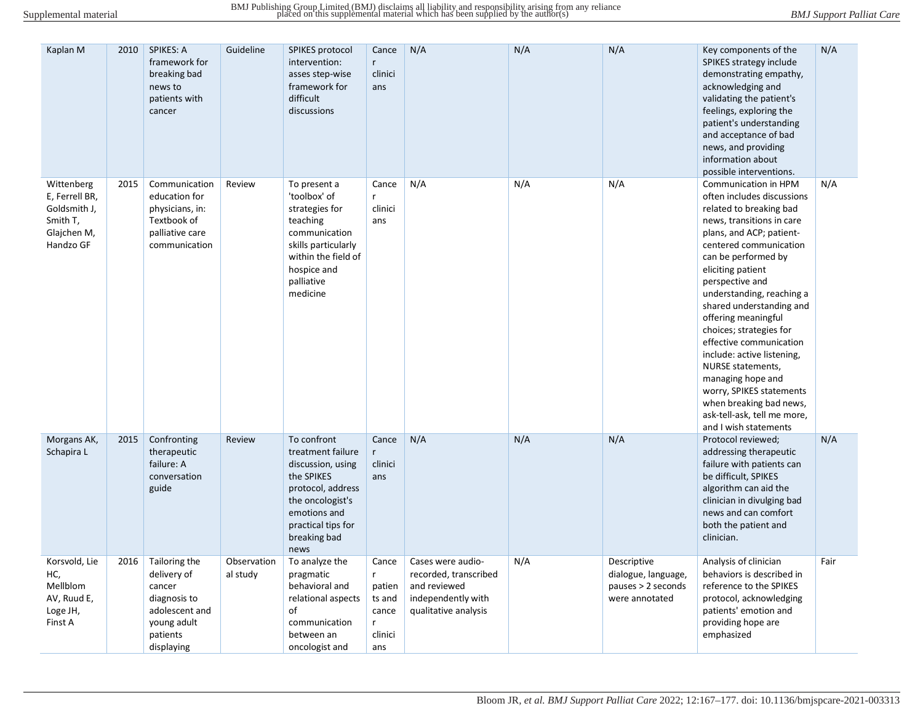| Kaplan M                                                                             | 2010 | <b>SPIKES: A</b><br>framework for<br>breaking bad<br>news to<br>patients with<br>cancer                           | Guideline               | SPIKES protocol<br>intervention:<br>asses step-wise<br>framework for<br>difficult<br>discussions                                                                           | Cance<br>$r_{\rm}$<br>clinici<br>ans                           | N/A                                                                                                      | N/A | N/A                                                                          | Key components of the<br>SPIKES strategy include<br>demonstrating empathy,<br>acknowledging and<br>validating the patient's<br>feelings, exploring the<br>patient's understanding<br>and acceptance of bad<br>news, and providing<br>information about<br>possible interventions.                                                                                                                                                                                                                                                                                   | N/A  |
|--------------------------------------------------------------------------------------|------|-------------------------------------------------------------------------------------------------------------------|-------------------------|----------------------------------------------------------------------------------------------------------------------------------------------------------------------------|----------------------------------------------------------------|----------------------------------------------------------------------------------------------------------|-----|------------------------------------------------------------------------------|---------------------------------------------------------------------------------------------------------------------------------------------------------------------------------------------------------------------------------------------------------------------------------------------------------------------------------------------------------------------------------------------------------------------------------------------------------------------------------------------------------------------------------------------------------------------|------|
| Wittenberg<br>E, Ferrell BR,<br>Goldsmith J,<br>Smith T,<br>Glajchen M,<br>Handzo GF | 2015 | Communication<br>education for<br>physicians, in:<br>Textbook of<br>palliative care<br>communication              | Review                  | To present a<br>'toolbox' of<br>strategies for<br>teaching<br>communication<br>skills particularly<br>within the field of<br>hospice and<br>palliative<br>medicine         | Cance<br>r<br>clinici<br>ans                                   | N/A                                                                                                      | N/A | N/A                                                                          | Communication in HPM<br>often includes discussions<br>related to breaking bad<br>news, transitions in care<br>plans, and ACP; patient-<br>centered communication<br>can be performed by<br>eliciting patient<br>perspective and<br>understanding, reaching a<br>shared understanding and<br>offering meaningful<br>choices; strategies for<br>effective communication<br>include: active listening,<br><b>NURSE</b> statements,<br>managing hope and<br>worry, SPIKES statements<br>when breaking bad news,<br>ask-tell-ask, tell me more,<br>and I wish statements | N/A  |
| Morgans AK,<br>Schapira L                                                            | 2015 | Confronting<br>therapeutic<br>failure: A<br>conversation<br>guide                                                 | Review                  | To confront<br>treatment failure<br>discussion, using<br>the SPIKES<br>protocol, address<br>the oncologist's<br>emotions and<br>practical tips for<br>breaking bad<br>news | Cance<br>$\mathsf{r}$<br>clinici<br>ans                        | N/A                                                                                                      | N/A | N/A                                                                          | Protocol reviewed;<br>addressing therapeutic<br>failure with patients can<br>be difficult, SPIKES<br>algorithm can aid the<br>clinician in divulging bad<br>news and can comfort<br>both the patient and<br>clinician.                                                                                                                                                                                                                                                                                                                                              | N/A  |
| Korsvold, Lie<br>HC,<br>Mellblom<br>AV, Ruud E,<br>Loge JH,<br>Finst A               | 2016 | Tailoring the<br>delivery of<br>cancer<br>diagnosis to<br>adolescent and<br>young adult<br>patients<br>displaying | Observation<br>al study | To analyze the<br>pragmatic<br>behavioral and<br>relational aspects<br>of<br>communication<br>between an<br>oncologist and                                                 | Cance<br>r<br>patien<br>ts and<br>cance<br>r<br>clinici<br>ans | Cases were audio-<br>recorded, transcribed<br>and reviewed<br>independently with<br>qualitative analysis | N/A | Descriptive<br>dialogue, language,<br>pauses $> 2$ seconds<br>were annotated | Analysis of clinician<br>behaviors is described in<br>reference to the SPIKES<br>protocol, acknowledging<br>patients' emotion and<br>providing hope are<br>emphasized                                                                                                                                                                                                                                                                                                                                                                                               | Fair |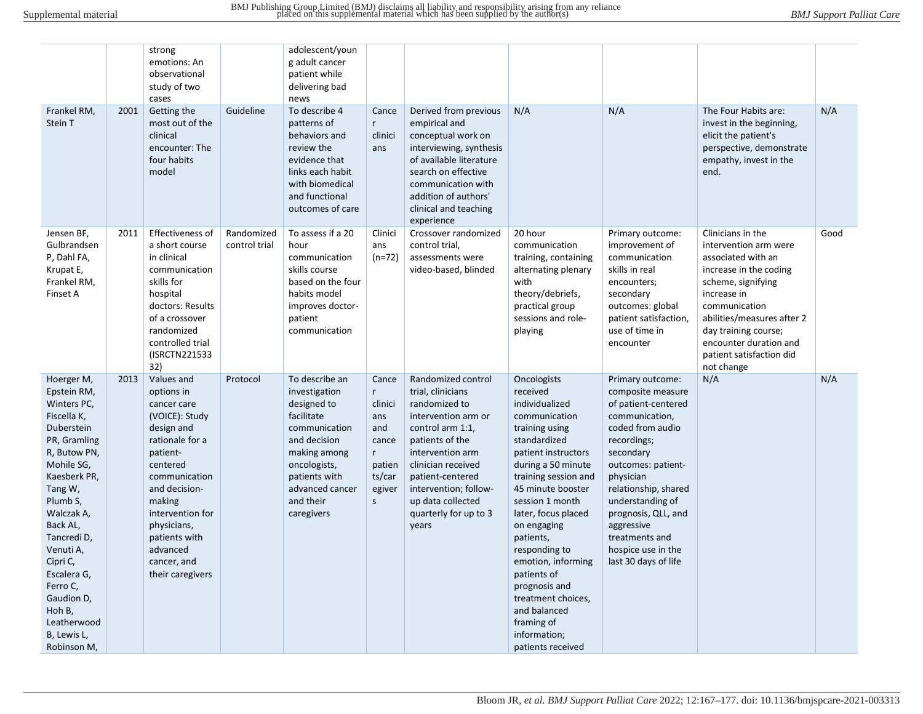| Frankel RM,<br>Stein T                                                                                                                                                                                                                                                                                                       | 2001 | strong<br>emotions: An<br>observational<br>study of two<br>cases<br>Getting the<br>most out of the<br>clinical                                                                                                                                                    | Guideline                   | adolescent/youn<br>g adult cancer<br>patient while<br>delivering bad<br>news<br>To describe 4<br>patterns of<br>behaviors and                                                                | Cance<br>$r_{\rm}$<br>clinici                                                                      | Derived from previous<br>empirical and<br>conceptual work on                                                                                                                                                                                                         | N/A                                                                                                                                                                                                                                                                                                                                                                                                                          | N/A                                                                                                                                                                                                                                                                                                                | The Four Habits are:<br>invest in the beginning,<br>elicit the patient's                                                                                                                                                                                                   | N/A  |
|------------------------------------------------------------------------------------------------------------------------------------------------------------------------------------------------------------------------------------------------------------------------------------------------------------------------------|------|-------------------------------------------------------------------------------------------------------------------------------------------------------------------------------------------------------------------------------------------------------------------|-----------------------------|----------------------------------------------------------------------------------------------------------------------------------------------------------------------------------------------|----------------------------------------------------------------------------------------------------|----------------------------------------------------------------------------------------------------------------------------------------------------------------------------------------------------------------------------------------------------------------------|------------------------------------------------------------------------------------------------------------------------------------------------------------------------------------------------------------------------------------------------------------------------------------------------------------------------------------------------------------------------------------------------------------------------------|--------------------------------------------------------------------------------------------------------------------------------------------------------------------------------------------------------------------------------------------------------------------------------------------------------------------|----------------------------------------------------------------------------------------------------------------------------------------------------------------------------------------------------------------------------------------------------------------------------|------|
|                                                                                                                                                                                                                                                                                                                              |      | encounter: The<br>four habits<br>model                                                                                                                                                                                                                            |                             | review the<br>evidence that<br>links each habit<br>with biomedical<br>and functional<br>outcomes of care                                                                                     | ans                                                                                                | interviewing, synthesis<br>of available literature<br>search on effective<br>communication with<br>addition of authors'<br>clinical and teaching<br>experience                                                                                                       |                                                                                                                                                                                                                                                                                                                                                                                                                              |                                                                                                                                                                                                                                                                                                                    | perspective, demonstrate<br>empathy, invest in the<br>end.                                                                                                                                                                                                                 |      |
| Jensen BF,<br>Gulbrandsen<br>P, Dahl FA,<br>Krupat E,<br>Frankel RM,<br>Finset A                                                                                                                                                                                                                                             | 2011 | Effectiveness of<br>a short course<br>in clinical<br>communication<br>skills for<br>hospital<br>doctors: Results<br>of a crossover<br>randomized<br>controlled trial<br>(ISRCTN221533<br>32)                                                                      | Randomized<br>control trial | To assess if a 20<br>hour<br>communication<br>skills course<br>based on the four<br>habits model<br>improves doctor-<br>patient<br>communication                                             | Clinici<br>ans<br>$(n=72)$                                                                         | Crossover randomized<br>control trial,<br>assessments were<br>video-based, blinded                                                                                                                                                                                   | 20 hour<br>communication<br>training, containing<br>alternating plenary<br>with<br>theory/debriefs,<br>practical group<br>sessions and role-<br>playing                                                                                                                                                                                                                                                                      | Primary outcome:<br>improvement of<br>communication<br>skills in real<br>encounters;<br>secondary<br>outcomes: global<br>patient satisfaction,<br>use of time in<br>encounter                                                                                                                                      | Clinicians in the<br>intervention arm were<br>associated with an<br>increase in the coding<br>scheme, signifying<br>increase in<br>communication<br>abilities/measures after 2<br>day training course;<br>encounter duration and<br>patient satisfaction did<br>not change | Good |
| Hoerger M,<br>Epstein RM,<br>Winters PC,<br>Fiscella K,<br>Duberstein<br>PR, Gramling<br>R, Butow PN,<br>Mohile SG,<br>Kaesberk PR,<br>Tang W,<br>Plumb S,<br>Walczak A,<br>Back AL,<br>Tancredi D,<br>Venuti A,<br>Cipri C,<br>Escalera G,<br>Ferro C,<br>Gaudion D,<br>Hoh B,<br>Leatherwood<br>B, Lewis L,<br>Robinson M, | 2013 | Values and<br>options in<br>cancer care<br>(VOICE): Study<br>design and<br>rationale for a<br>patient-<br>centered<br>communication<br>and decision-<br>making<br>intervention for<br>physicians,<br>patients with<br>advanced<br>cancer, and<br>their caregivers | Protocol                    | To describe an<br>investigation<br>designed to<br>facilitate<br>communication<br>and decision<br>making among<br>oncologists,<br>patients with<br>advanced cancer<br>and their<br>caregivers | Cance<br>$r_{\parallel}$<br>clinici<br>ans<br>and<br>cance<br>r<br>patien<br>ts/car<br>egiver<br>S | Randomized control<br>trial, clinicians<br>randomized to<br>intervention arm or<br>control arm 1:1,<br>patients of the<br>intervention arm<br>clinician received<br>patient-centered<br>intervention; follow-<br>up data collected<br>quarterly for up to 3<br>years | Oncologists<br>received<br>individualized<br>communication<br>training using<br>standardized<br>patient instructors<br>during a 50 minute<br>training session and<br>45 minute booster<br>session 1 month<br>later, focus placed<br>on engaging<br>patients,<br>responding to<br>emotion, informing<br>patients of<br>prognosis and<br>treatment choices,<br>and balanced<br>framing of<br>information;<br>patients received | Primary outcome:<br>composite measure<br>of patient-centered<br>communication,<br>coded from audio<br>recordings;<br>secondary<br>outcomes: patient-<br>physician<br>relationship, shared<br>understanding of<br>prognosis, QLL, and<br>aggressive<br>treatments and<br>hospice use in the<br>last 30 days of life | N/A                                                                                                                                                                                                                                                                        | N/A  |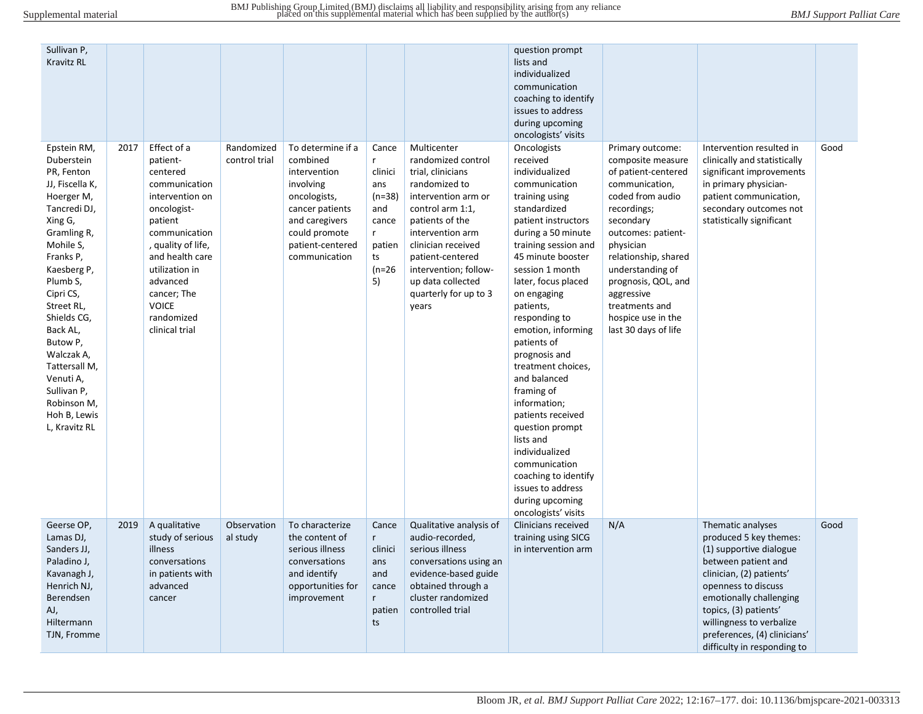| Sullivan P,<br><b>Kravitz RL</b>                                                                                                                                                                                                                                                                                                                    |      |                                                                                                                                                                                                                                                          |                             |                                                                                                                                                                       |                                                                                               |                                                                                                                                                                                                                                                                                     | question prompt<br>lists and<br>individualized<br>communication<br>coaching to identify<br>issues to address<br>during upcoming<br>oncologists' visits                                                                                                                                                                                                                                                                                                                                                                                                                                 |                                                                                                                                                                                                                                                                                                                    |                                                                                                                                                                                                                                                                                                 |      |
|-----------------------------------------------------------------------------------------------------------------------------------------------------------------------------------------------------------------------------------------------------------------------------------------------------------------------------------------------------|------|----------------------------------------------------------------------------------------------------------------------------------------------------------------------------------------------------------------------------------------------------------|-----------------------------|-----------------------------------------------------------------------------------------------------------------------------------------------------------------------|-----------------------------------------------------------------------------------------------|-------------------------------------------------------------------------------------------------------------------------------------------------------------------------------------------------------------------------------------------------------------------------------------|----------------------------------------------------------------------------------------------------------------------------------------------------------------------------------------------------------------------------------------------------------------------------------------------------------------------------------------------------------------------------------------------------------------------------------------------------------------------------------------------------------------------------------------------------------------------------------------|--------------------------------------------------------------------------------------------------------------------------------------------------------------------------------------------------------------------------------------------------------------------------------------------------------------------|-------------------------------------------------------------------------------------------------------------------------------------------------------------------------------------------------------------------------------------------------------------------------------------------------|------|
| Epstein RM,<br>Duberstein<br>PR, Fenton<br>JJ, Fiscella K,<br>Hoerger M,<br>Tancredi DJ,<br>Xing G,<br>Gramling R,<br>Mohile S,<br>Franks P,<br>Kaesberg P,<br>Plumb S,<br>Cipri CS,<br>Street RL,<br>Shields CG,<br>Back AL,<br>Butow P,<br>Walczak A,<br>Tattersall M,<br>Venuti A,<br>Sullivan P<br>Robinson M,<br>Hoh B, Lewis<br>L, Kravitz RL | 2017 | Effect of a<br>patient-<br>centered<br>communication<br>intervention on<br>oncologist-<br>patient<br>communication<br>, quality of life,<br>and health care<br>utilization in<br>advanced<br>cancer; The<br><b>VOICE</b><br>randomized<br>clinical trial | Randomized<br>control trial | To determine if a<br>combined<br>intervention<br>involving<br>oncologists,<br>cancer patients<br>and caregivers<br>could promote<br>patient-centered<br>communication | Cance<br>r<br>clinici<br>ans<br>(n=38)<br>and<br>cance<br>r<br>patien<br>ts<br>$(n=26)$<br>5) | Multicenter<br>randomized control<br>trial, clinicians<br>randomized to<br>intervention arm or<br>control arm 1:1,<br>patients of the<br>intervention arm<br>clinician received<br>patient-centered<br>intervention; follow-<br>up data collected<br>quarterly for up to 3<br>years | Oncologists<br>received<br>individualized<br>communication<br>training using<br>standardized<br>patient instructors<br>during a 50 minute<br>training session and<br>45 minute booster<br>session 1 month<br>later, focus placed<br>on engaging<br>patients,<br>responding to<br>emotion, informing<br>patients of<br>prognosis and<br>treatment choices,<br>and balanced<br>framing of<br>information;<br>patients received<br>question prompt<br>lists and<br>individualized<br>communication<br>coaching to identify<br>issues to address<br>during upcoming<br>oncologists' visits | Primary outcome:<br>composite measure<br>of patient-centered<br>communication,<br>coded from audio<br>recordings;<br>secondary<br>outcomes: patient-<br>physician<br>relationship, shared<br>understanding of<br>prognosis, QOL, and<br>aggressive<br>treatments and<br>hospice use in the<br>last 30 days of life | Intervention resulted in<br>clinically and statistically<br>significant improvements<br>in primary physician-<br>patient communication,<br>secondary outcomes not<br>statistically significant                                                                                                  | Good |
| Geerse OP,<br>Lamas DJ,<br>Sanders JJ,<br>Paladino J,<br>Kavanagh J,<br>Henrich NJ,<br>Berendsen<br>AJ,<br>Hiltermann<br>TJN, Fromme                                                                                                                                                                                                                | 2019 | A qualitative<br>study of serious<br>illness<br>conversations<br>in patients with<br>advanced<br>cancer                                                                                                                                                  | Observation<br>al study     | To characterize<br>the content of<br>serious illness<br>conversations<br>and identify<br>opportunities for<br>improvement                                             | Cance<br>r<br>clinici<br>ans<br>and<br>cance<br>r<br>patien<br>ts                             | Qualitative analysis of<br>audio-recorded,<br>serious illness<br>conversations using an<br>evidence-based guide<br>obtained through a<br>cluster randomized<br>controlled trial                                                                                                     | Clinicians received<br>training using SICG<br>in intervention arm                                                                                                                                                                                                                                                                                                                                                                                                                                                                                                                      | N/A                                                                                                                                                                                                                                                                                                                | Thematic analyses<br>produced 5 key themes:<br>(1) supportive dialogue<br>between patient and<br>clinician, (2) patients'<br>openness to discuss<br>emotionally challenging<br>topics, (3) patients'<br>willingness to verbalize<br>preferences, (4) clinicians'<br>difficulty in responding to | Good |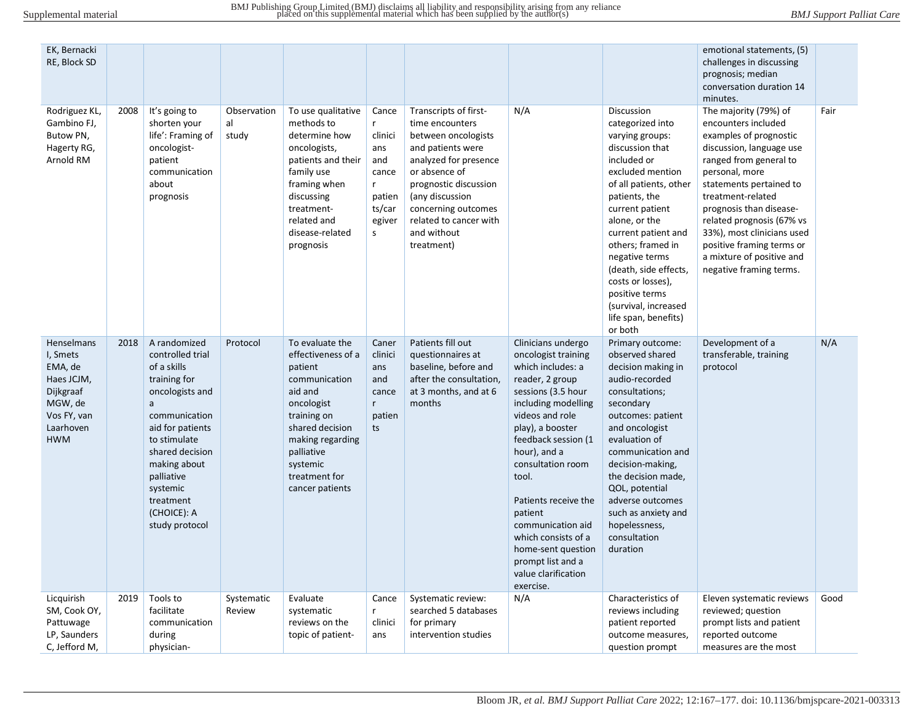| EK, Bernacki<br>RE, Block SD                                                                                      |      |                                                                                                                                                                                                                                                         |                            |                                                                                                                                                                                                                |                                                                                       |                                                                                                                                                                                                                                                          |                                                                                                                                                                                                                                                                                                                                                                                                          |                                                                                                                                                                                                                                                                                                                                                                                 | emotional statements, (5)<br>challenges in discussing<br>prognosis; median<br>conversation duration 14<br>minutes.                                                                                                                                                                                                                                                        |      |
|-------------------------------------------------------------------------------------------------------------------|------|---------------------------------------------------------------------------------------------------------------------------------------------------------------------------------------------------------------------------------------------------------|----------------------------|----------------------------------------------------------------------------------------------------------------------------------------------------------------------------------------------------------------|---------------------------------------------------------------------------------------|----------------------------------------------------------------------------------------------------------------------------------------------------------------------------------------------------------------------------------------------------------|----------------------------------------------------------------------------------------------------------------------------------------------------------------------------------------------------------------------------------------------------------------------------------------------------------------------------------------------------------------------------------------------------------|---------------------------------------------------------------------------------------------------------------------------------------------------------------------------------------------------------------------------------------------------------------------------------------------------------------------------------------------------------------------------------|---------------------------------------------------------------------------------------------------------------------------------------------------------------------------------------------------------------------------------------------------------------------------------------------------------------------------------------------------------------------------|------|
| Rodriguez KL,<br>Gambino FJ,<br>Butow PN,<br>Hagerty RG,<br>Arnold RM                                             | 2008 | It's going to<br>shorten your<br>life': Framing of<br>oncologist-<br>patient<br>communication<br>about<br>prognosis                                                                                                                                     | Observation<br>al<br>study | To use qualitative<br>methods to<br>determine how<br>oncologists,<br>patients and their<br>family use<br>framing when<br>discussing<br>treatment-<br>related and<br>disease-related<br>prognosis               | Cance<br>r.<br>clinici<br>ans<br>and<br>cance<br>r<br>patien<br>ts/car<br>egiver<br>s | Transcripts of first-<br>time encounters<br>between oncologists<br>and patients were<br>analyzed for presence<br>or absence of<br>prognostic discussion<br>(any discussion<br>concerning outcomes<br>related to cancer with<br>and without<br>treatment) | N/A                                                                                                                                                                                                                                                                                                                                                                                                      | Discussion<br>categorized into<br>varying groups:<br>discussion that<br>included or<br>excluded mention<br>of all patients, other<br>patients, the<br>current patient<br>alone, or the<br>current patient and<br>others; framed in<br>negative terms<br>(death, side effects,<br>costs or losses),<br>positive terms<br>(survival, increased<br>life span, benefits)<br>or both | The majority (79%) of<br>encounters included<br>examples of prognostic<br>discussion, language use<br>ranged from general to<br>personal, more<br>statements pertained to<br>treatment-related<br>prognosis than disease-<br>related prognosis (67% vs<br>33%), most clinicians used<br>positive framing terms or<br>a mixture of positive and<br>negative framing terms. | Fair |
| <b>Henselmans</b><br>I, Smets<br>EMA, de<br>Haes JCJM,<br>Dijkgraaf<br>MGW, de<br>Vos FY, van<br>Laarhoven<br>HWM | 2018 | A randomized<br>controlled trial<br>of a skills<br>training for<br>oncologists and<br>a<br>communication<br>aid for patients<br>to stimulate<br>shared decision<br>making about<br>palliative<br>systemic<br>treatment<br>(CHOICE): A<br>study protocol | Protocol                   | To evaluate the<br>effectiveness of a<br>patient<br>communication<br>aid and<br>oncologist<br>training on<br>shared decision<br>making regarding<br>palliative<br>systemic<br>treatment for<br>cancer patients | Caner<br>clinici<br>ans<br>and<br>cance<br>r.<br>patien<br>ts                         | Patients fill out<br>questionnaires at<br>baseline, before and<br>after the consultation,<br>at 3 months, and at 6<br>months                                                                                                                             | Clinicians undergo<br>oncologist training<br>which includes: a<br>reader, 2 group<br>sessions (3.5 hour<br>including modelling<br>videos and role<br>play), a booster<br>feedback session (1<br>hour), and a<br>consultation room<br>tool.<br>Patients receive the<br>patient<br>communication aid<br>which consists of a<br>home-sent question<br>prompt list and a<br>value clarification<br>exercise. | Primary outcome:<br>observed shared<br>decision making in<br>audio-recorded<br>consultations;<br>secondary<br>outcomes: patient<br>and oncologist<br>evaluation of<br>communication and<br>decision-making,<br>the decision made,<br>QOL, potential<br>adverse outcomes<br>such as anxiety and<br>hopelessness,<br>consultation<br>duration                                     | Development of a<br>transferable, training<br>protocol                                                                                                                                                                                                                                                                                                                    | N/A  |
| Licquirish<br>SM, Cook OY,<br>Pattuwage<br>LP, Saunders<br>C, Jefford M,                                          | 2019 | Tools to<br>facilitate<br>communication<br>during<br>physician-                                                                                                                                                                                         | Systematic<br>Review       | Evaluate<br>systematic<br>reviews on the<br>topic of patient-                                                                                                                                                  | Cance<br>r<br>clinici<br>ans                                                          | Systematic review:<br>searched 5 databases<br>for primary<br>intervention studies                                                                                                                                                                        | N/A                                                                                                                                                                                                                                                                                                                                                                                                      | Characteristics of<br>reviews including<br>patient reported<br>outcome measures,<br>question prompt                                                                                                                                                                                                                                                                             | Eleven systematic reviews<br>reviewed; question<br>prompt lists and patient<br>reported outcome<br>measures are the most                                                                                                                                                                                                                                                  | Good |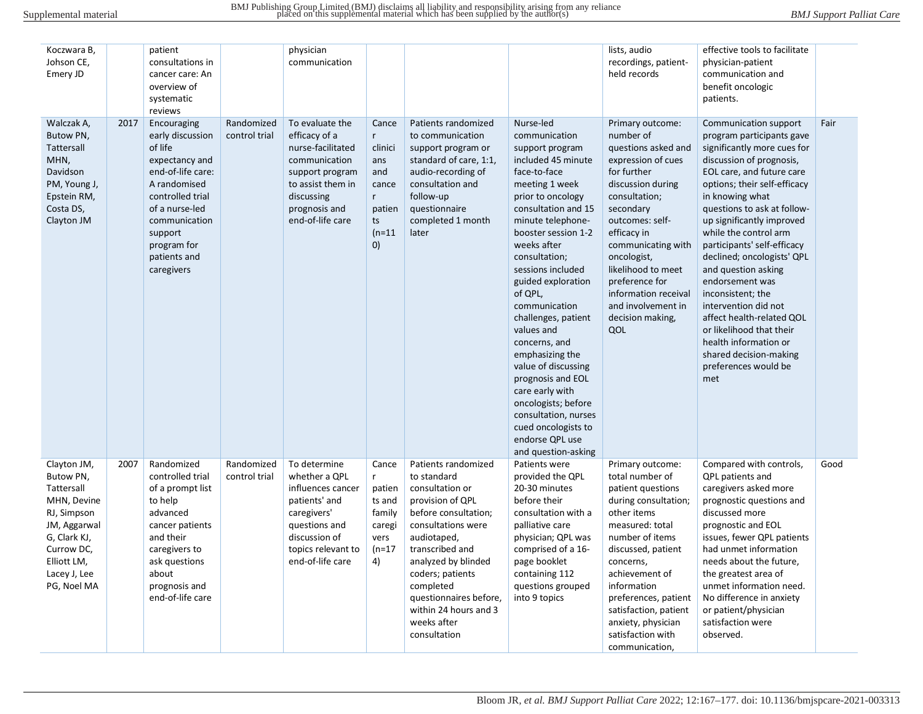| Koczwara B,<br>Johson CE,<br>Emery JD                                                                                                                            |      | patient<br>consultations in<br>cancer care: An<br>overview of<br>systematic<br>reviews                                                                                                                           |                             | physician<br>communication                                                                                                                                        |                                                                                       |                                                                                                                                                                                                                                                                                                     |                                                                                                                                                                                                                                                                                                                                                                                                                                                                                                                                                              | lists, audio<br>recordings, patient-<br>held records                                                                                                                                                                                                                                                                                 | effective tools to facilitate<br>physician-patient<br>communication and<br>benefit oncologic<br>patients.                                                                                                                                                                                                                                                                                                                                                                                                                                                                         |      |
|------------------------------------------------------------------------------------------------------------------------------------------------------------------|------|------------------------------------------------------------------------------------------------------------------------------------------------------------------------------------------------------------------|-----------------------------|-------------------------------------------------------------------------------------------------------------------------------------------------------------------|---------------------------------------------------------------------------------------|-----------------------------------------------------------------------------------------------------------------------------------------------------------------------------------------------------------------------------------------------------------------------------------------------------|--------------------------------------------------------------------------------------------------------------------------------------------------------------------------------------------------------------------------------------------------------------------------------------------------------------------------------------------------------------------------------------------------------------------------------------------------------------------------------------------------------------------------------------------------------------|--------------------------------------------------------------------------------------------------------------------------------------------------------------------------------------------------------------------------------------------------------------------------------------------------------------------------------------|-----------------------------------------------------------------------------------------------------------------------------------------------------------------------------------------------------------------------------------------------------------------------------------------------------------------------------------------------------------------------------------------------------------------------------------------------------------------------------------------------------------------------------------------------------------------------------------|------|
| Walczak A,<br>Butow PN,<br>Tattersall<br>MHN,<br>Davidson<br>PM, Young J,<br>Epstein RM,<br>Costa DS,<br>Clayton JM                                              | 2017 | Encouraging<br>early discussion<br>of life<br>expectancy and<br>end-of-life care:<br>A randomised<br>controlled trial<br>of a nurse-led<br>communication<br>support<br>program for<br>patients and<br>caregivers | Randomized<br>control trial | To evaluate the<br>efficacy of a<br>nurse-facilitated<br>communication<br>support program<br>to assist them in<br>discussing<br>prognosis and<br>end-of-life care | Cance<br>r.<br>clinici<br>ans<br>and<br>cance<br>r<br>patien<br>ts<br>$(n=11)$<br>(0) | Patients randomized<br>to communication<br>support program or<br>standard of care, 1:1,<br>audio-recording of<br>consultation and<br>follow-up<br>questionnaire<br>completed 1 month<br>later                                                                                                       | Nurse-led<br>communication<br>support program<br>included 45 minute<br>face-to-face<br>meeting 1 week<br>prior to oncology<br>consultation and 15<br>minute telephone-<br>booster session 1-2<br>weeks after<br>consultation;<br>sessions included<br>guided exploration<br>of QPL,<br>communication<br>challenges, patient<br>values and<br>concerns, and<br>emphasizing the<br>value of discussing<br>prognosis and EOL<br>care early with<br>oncologists; before<br>consultation, nurses<br>cued oncologists to<br>endorse QPL use<br>and question-asking | Primary outcome:<br>number of<br>questions asked and<br>expression of cues<br>for further<br>discussion during<br>consultation;<br>secondary<br>outcomes: self-<br>efficacy in<br>communicating with<br>oncologist,<br>likelihood to meet<br>preference for<br>information receival<br>and involvement in<br>decision making,<br>QOL | Communication support<br>program participants gave<br>significantly more cues for<br>discussion of prognosis,<br>EOL care, and future care<br>options; their self-efficacy<br>in knowing what<br>questions to ask at follow-<br>up significantly improved<br>while the control arm<br>participants' self-efficacy<br>declined; oncologists' QPL<br>and question asking<br>endorsement was<br>inconsistent; the<br>intervention did not<br>affect health-related OOL<br>or likelihood that their<br>health information or<br>shared decision-making<br>preferences would be<br>met | Fair |
| Clayton JM,<br>Butow PN,<br>Tattersall<br>MHN, Devine<br>RJ, Simpson<br>JM, Aggarwal<br>G, Clark KJ,<br>Currow DC,<br>Elliott LM,<br>Lacey J, Lee<br>PG, Noel MA | 2007 | Randomized<br>controlled trial<br>of a prompt list<br>to help<br>advanced<br>cancer patients<br>and their<br>caregivers to<br>ask questions<br>about<br>prognosis and<br>end-of-life care                        | Randomized<br>control trial | To determine<br>whether a QPL<br>influences cancer<br>patients' and<br>caregivers'<br>questions and<br>discussion of<br>topics relevant to<br>end-of-life care    | Cance<br>r.<br>patien<br>ts and<br>family<br>caregi<br>vers<br>$(n=17)$<br>4)         | Patients randomized<br>to standard<br>consultation or<br>provision of QPL<br>before consultation;<br>consultations were<br>audiotaped,<br>transcribed and<br>analyzed by blinded<br>coders; patients<br>completed<br>questionnaires before,<br>within 24 hours and 3<br>weeks after<br>consultation | Patients were<br>provided the QPL<br>20-30 minutes<br>before their<br>consultation with a<br>palliative care<br>physician; QPL was<br>comprised of a 16-<br>page booklet<br>containing 112<br>questions grouped<br>into 9 topics                                                                                                                                                                                                                                                                                                                             | Primary outcome:<br>total number of<br>patient questions<br>during consultation;<br>other items<br>measured: total<br>number of items<br>discussed, patient<br>concerns,<br>achievement of<br>information<br>preferences, patient<br>satisfaction, patient<br>anxiety, physician<br>satisfaction with<br>communication,              | Compared with controls,<br>QPL patients and<br>caregivers asked more<br>prognostic questions and<br>discussed more<br>prognostic and EOL<br>issues, fewer QPL patients<br>had unmet information<br>needs about the future,<br>the greatest area of<br>unmet information need.<br>No difference in anxiety<br>or patient/physician<br>satisfaction were<br>observed.                                                                                                                                                                                                               | Good |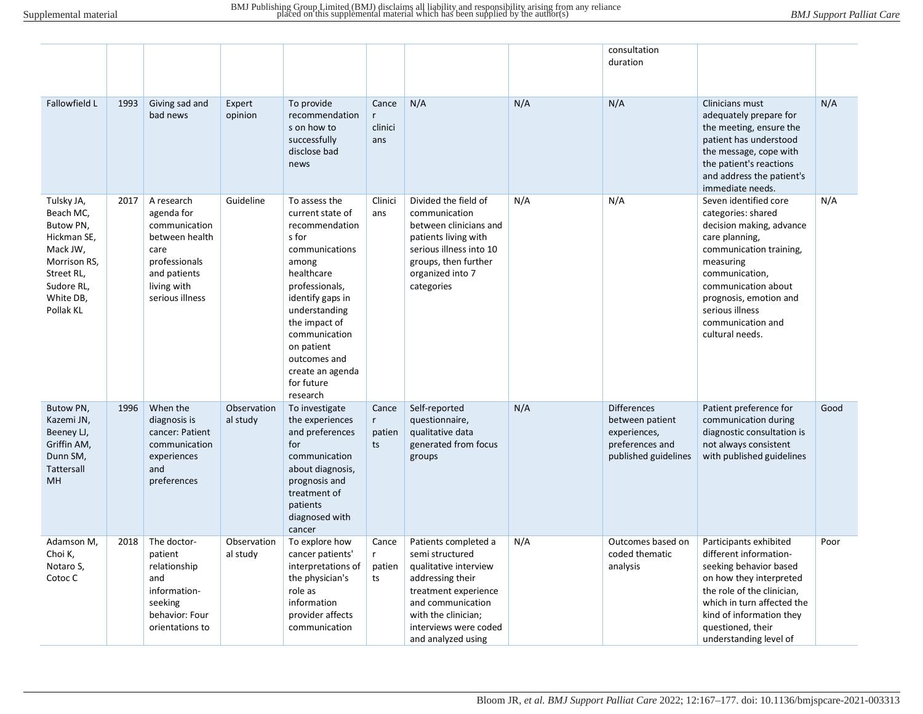|                                                                                                                                       |      |                                                                                                                                        |                         |                                                                                                                                                                                                                                                                            |                            |                                                                                                                                                                                                         |     | consultation<br>duration                                                                         |                                                                                                                                                                                                                                                                 |      |
|---------------------------------------------------------------------------------------------------------------------------------------|------|----------------------------------------------------------------------------------------------------------------------------------------|-------------------------|----------------------------------------------------------------------------------------------------------------------------------------------------------------------------------------------------------------------------------------------------------------------------|----------------------------|---------------------------------------------------------------------------------------------------------------------------------------------------------------------------------------------------------|-----|--------------------------------------------------------------------------------------------------|-----------------------------------------------------------------------------------------------------------------------------------------------------------------------------------------------------------------------------------------------------------------|------|
| Fallowfield L                                                                                                                         | 1993 | Giving sad and<br>bad news                                                                                                             | Expert<br>opinion       | To provide<br>recommendation<br>s on how to<br>successfully<br>disclose bad<br>news                                                                                                                                                                                        | Cance<br>clinici<br>ans    | N/A                                                                                                                                                                                                     | N/A | N/A                                                                                              | Clinicians must<br>adequately prepare for<br>the meeting, ensure the<br>patient has understood<br>the message, cope with<br>the patient's reactions<br>and address the patient's<br>immediate needs.                                                            | N/A  |
| Tulsky JA,<br>Beach MC,<br>Butow PN,<br>Hickman SE,<br>Mack JW,<br>Morrison RS,<br>Street RL,<br>Sudore RL,<br>White DB,<br>Pollak KL | 2017 | A research<br>agenda for<br>communication<br>between health<br>care<br>professionals<br>and patients<br>living with<br>serious illness | Guideline               | To assess the<br>current state of<br>recommendation<br>s for<br>communications<br>among<br>healthcare<br>professionals,<br>identify gaps in<br>understanding<br>the impact of<br>communication<br>on patient<br>outcomes and<br>create an agenda<br>for future<br>research | Clinici<br>ans             | Divided the field of<br>communication<br>between clinicians and<br>patients living with<br>serious illness into 10<br>groups, then further<br>organized into 7<br>categories                            | N/A | N/A                                                                                              | Seven identified core<br>categories: shared<br>decision making, advance<br>care planning,<br>communication training,<br>measuring<br>communication,<br>communication about<br>prognosis, emotion and<br>serious illness<br>communication and<br>cultural needs. | N/A  |
| Butow PN,<br>Kazemi JN,<br>Beeney LJ,<br>Griffin AM,<br>Dunn SM,<br>Tattersall<br><b>MH</b>                                           | 1996 | When the<br>diagnosis is<br>cancer: Patient<br>communication<br>experiences<br>and<br>preferences                                      | Observation<br>al study | To investigate<br>the experiences<br>and preferences<br>for<br>communication<br>about diagnosis,<br>prognosis and<br>treatment of<br>patients<br>diagnosed with<br>cancer                                                                                                  | Cance<br>r<br>patien<br>ts | Self-reported<br>questionnaire,<br>qualitative data<br>generated from focus<br>groups                                                                                                                   | N/A | <b>Differences</b><br>between patient<br>experiences,<br>preferences and<br>published guidelines | Patient preference for<br>communication during<br>diagnostic consultation is<br>not always consistent<br>with published guidelines                                                                                                                              | Good |
| Adamson M,<br>Choi K,<br>Notaro S,<br>Cotoc C                                                                                         | 2018 | The doctor-<br>patient<br>relationship<br>and<br>information-<br>seeking<br>behavior: Four<br>orientations to                          | Observation<br>al study | To explore how<br>cancer patients'<br>interpretations of<br>the physician's<br>role as<br>information<br>provider affects<br>communication                                                                                                                                 | Cance<br>r<br>patien<br>ts | Patients completed a<br>semi structured<br>qualitative interview<br>addressing their<br>treatment experience<br>and communication<br>with the clinician;<br>interviews were coded<br>and analyzed using | N/A | Outcomes based on<br>coded thematic<br>analysis                                                  | Participants exhibited<br>different information-<br>seeking behavior based<br>on how they interpreted<br>the role of the clinician,<br>which in turn affected the<br>kind of information they<br>questioned, their<br>understanding level of                    | Poor |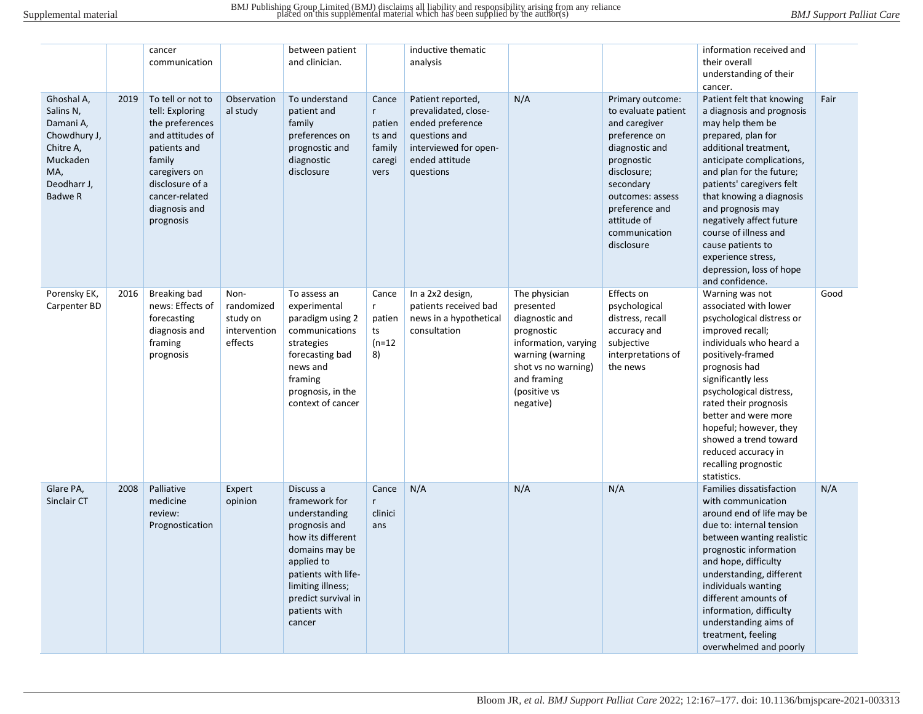|                                                                                                                       |      | cancer<br>communication                                                                                                                                                                   |                                                           | between patient<br>and clinician.                                                                                                                                                                               |                                                            | inductive thematic<br>analysis                                                                                                         |                                                                                                                                                                           |                                                                                                                                                                                                                           | information received and<br>their overall<br>understanding of their<br>cancer.                                                                                                                                                                                                                                                                                                                                  |      |
|-----------------------------------------------------------------------------------------------------------------------|------|-------------------------------------------------------------------------------------------------------------------------------------------------------------------------------------------|-----------------------------------------------------------|-----------------------------------------------------------------------------------------------------------------------------------------------------------------------------------------------------------------|------------------------------------------------------------|----------------------------------------------------------------------------------------------------------------------------------------|---------------------------------------------------------------------------------------------------------------------------------------------------------------------------|---------------------------------------------------------------------------------------------------------------------------------------------------------------------------------------------------------------------------|-----------------------------------------------------------------------------------------------------------------------------------------------------------------------------------------------------------------------------------------------------------------------------------------------------------------------------------------------------------------------------------------------------------------|------|
| Ghoshal A,<br>Salins N,<br>Damani A,<br>Chowdhury J,<br>Chitre A,<br>Muckaden<br>MA,<br>Deodharr J,<br><b>Badwe R</b> | 2019 | To tell or not to<br>tell: Exploring<br>the preferences<br>and attitudes of<br>patients and<br>family<br>caregivers on<br>disclosure of a<br>cancer-related<br>diagnosis and<br>prognosis | Observation<br>al study                                   | To understand<br>patient and<br>family<br>preferences on<br>prognostic and<br>diagnostic<br>disclosure                                                                                                          | Cance<br>r<br>patien<br>ts and<br>family<br>caregi<br>vers | Patient reported,<br>prevalidated, close-<br>ended preference<br>questions and<br>interviewed for open-<br>ended attitude<br>questions | N/A                                                                                                                                                                       | Primary outcome:<br>to evaluate patient<br>and caregiver<br>preference on<br>diagnostic and<br>prognostic<br>disclosure;<br>secondary<br>outcomes: assess<br>preference and<br>attitude of<br>communication<br>disclosure | Patient felt that knowing<br>a diagnosis and prognosis<br>may help them be<br>prepared, plan for<br>additional treatment,<br>anticipate complications,<br>and plan for the future;<br>patients' caregivers felt<br>that knowing a diagnosis<br>and prognosis may<br>negatively affect future<br>course of illness and<br>cause patients to<br>experience stress,<br>depression, loss of hope<br>and confidence. | Fair |
| Porensky EK,<br>Carpenter BD                                                                                          | 2016 | Breaking bad<br>news: Effects of<br>forecasting<br>diagnosis and<br>framing<br>prognosis                                                                                                  | Non-<br>randomized<br>study on<br>intervention<br>effects | To assess an<br>experimental<br>paradigm using 2<br>communications<br>strategies<br>forecasting bad<br>news and<br>framing<br>prognosis, in the<br>context of cancer                                            | Cance<br>r<br>patien<br>ts<br>$(n=12)$<br>8)               | In a 2x2 design,<br>patients received bad<br>news in a hypothetical<br>consultation                                                    | The physician<br>presented<br>diagnostic and<br>prognostic<br>information, varying<br>warning (warning<br>shot vs no warning)<br>and framing<br>(positive vs<br>negative) | Effects on<br>psychological<br>distress, recall<br>accuracy and<br>subjective<br>interpretations of<br>the news                                                                                                           | Warning was not<br>associated with lower<br>psychological distress or<br>improved recall;<br>individuals who heard a<br>positively-framed<br>prognosis had<br>significantly less<br>psychological distress,<br>rated their prognosis<br>better and were more<br>hopeful; however, they<br>showed a trend toward<br>reduced accuracy in<br>recalling prognostic<br>statistics.                                   | Good |
| Glare PA,<br>Sinclair CT                                                                                              | 2008 | Palliative<br>medicine<br>review:<br>Prognostication                                                                                                                                      | Expert<br>opinion                                         | Discuss a<br>framework for<br>understanding<br>prognosis and<br>how its different<br>domains may be<br>applied to<br>patients with life-<br>limiting illness;<br>predict survival in<br>patients with<br>cancer | Cance<br>r<br>clinici<br>ans                               | N/A                                                                                                                                    | N/A                                                                                                                                                                       | N/A                                                                                                                                                                                                                       | Families dissatisfaction<br>with communication<br>around end of life may be<br>due to: internal tension<br>between wanting realistic<br>prognostic information<br>and hope, difficulty<br>understanding, different<br>individuals wanting<br>different amounts of<br>information, difficulty<br>understanding aims of<br>treatment, feeling<br>overwhelmed and poorly                                           | N/A  |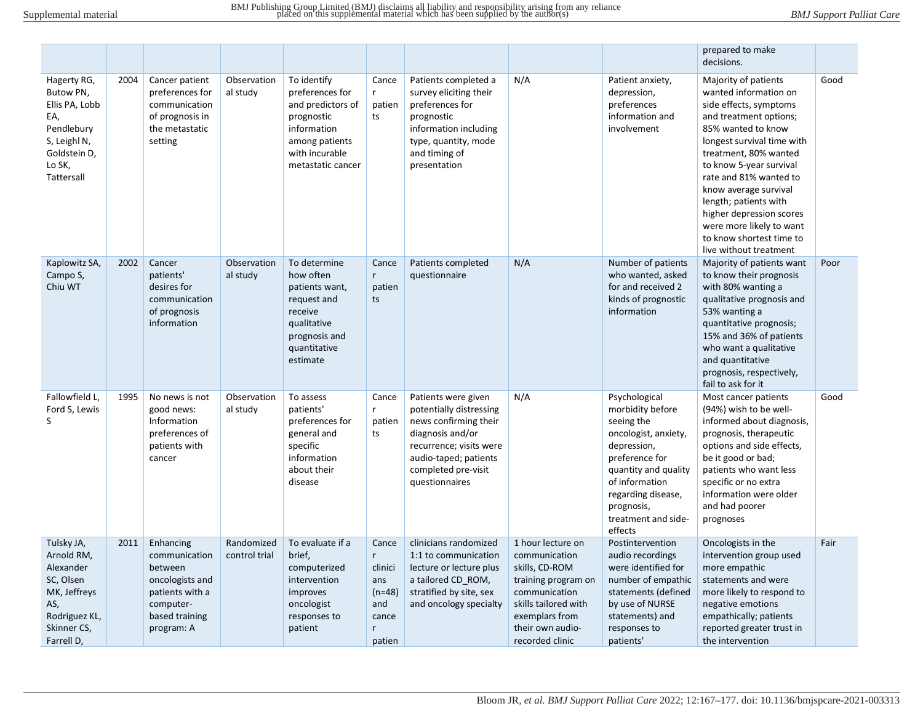|                                                                                                                         |      |                                                                                                                          |                             |                                                                                                                                           |                                                                                    |                                                                                                                                                                                          |                                                                                                                                                                               |                                                                                                                                                                                                                          | prepared to make<br>decisions.                                                                                                                                                                                                                                                                                                                                                                      |      |
|-------------------------------------------------------------------------------------------------------------------------|------|--------------------------------------------------------------------------------------------------------------------------|-----------------------------|-------------------------------------------------------------------------------------------------------------------------------------------|------------------------------------------------------------------------------------|------------------------------------------------------------------------------------------------------------------------------------------------------------------------------------------|-------------------------------------------------------------------------------------------------------------------------------------------------------------------------------|--------------------------------------------------------------------------------------------------------------------------------------------------------------------------------------------------------------------------|-----------------------------------------------------------------------------------------------------------------------------------------------------------------------------------------------------------------------------------------------------------------------------------------------------------------------------------------------------------------------------------------------------|------|
| Hagerty RG,<br>Butow PN,<br>Ellis PA, Lobb<br>EA,<br>Pendlebury<br>S, Leighl N,<br>Goldstein D,<br>Lo SK,<br>Tattersall | 2004 | Cancer patient<br>preferences for<br>communication<br>of prognosis in<br>the metastatic<br>setting                       | Observation<br>al study     | To identify<br>preferences for<br>and predictors of<br>prognostic<br>information<br>among patients<br>with incurable<br>metastatic cancer | Cance<br>r<br>patien<br>ts                                                         | Patients completed a<br>survey eliciting their<br>preferences for<br>prognostic<br>information including<br>type, quantity, mode<br>and timing of<br>presentation                        | N/A                                                                                                                                                                           | Patient anxiety,<br>depression,<br>preferences<br>information and<br>involvement                                                                                                                                         | Majority of patients<br>wanted information on<br>side effects, symptoms<br>and treatment options;<br>85% wanted to know<br>longest survival time with<br>treatment, 80% wanted<br>to know 5-year survival<br>rate and 81% wanted to<br>know average survival<br>length; patients with<br>higher depression scores<br>were more likely to want<br>to know shortest time to<br>live without treatment | Good |
| Kaplowitz SA,<br>Campo S,<br>Chiu WT                                                                                    | 2002 | Cancer<br>patients'<br>desires for<br>communication<br>of prognosis<br>information                                       | Observation<br>al study     | To determine<br>how often<br>patients want,<br>request and<br>receive<br>qualitative<br>prognosis and<br>quantitative<br>estimate         | Cance<br>$\mathsf{r}$<br>patien<br>ts                                              | Patients completed<br>questionnaire                                                                                                                                                      | N/A                                                                                                                                                                           | Number of patients<br>who wanted, asked<br>for and received 2<br>kinds of prognostic<br>information                                                                                                                      | Majority of patients want<br>to know their prognosis<br>with 80% wanting a<br>qualitative prognosis and<br>53% wanting a<br>quantitative prognosis;<br>15% and 36% of patients<br>who want a qualitative<br>and quantitative<br>prognosis, respectively,<br>fail to ask for it                                                                                                                      | Poor |
| Fallowfield L,<br>Ford S, Lewis<br>S                                                                                    | 1995 | No news is not<br>good news:<br>Information<br>preferences of<br>patients with<br>cancer                                 | Observation<br>al study     | To assess<br>patients'<br>preferences for<br>general and<br>specific<br>information<br>about their<br>disease                             | Cance<br>$\mathsf{r}$<br>patien<br>ts                                              | Patients were given<br>potentially distressing<br>news confirming their<br>diagnosis and/or<br>recurrence; visits were<br>audio-taped; patients<br>completed pre-visit<br>questionnaires | N/A                                                                                                                                                                           | Psychological<br>morbidity before<br>seeing the<br>oncologist, anxiety,<br>depression,<br>preference for<br>quantity and quality<br>of information<br>regarding disease,<br>prognosis,<br>treatment and side-<br>effects | Most cancer patients<br>(94%) wish to be well-<br>informed about diagnosis,<br>prognosis, therapeutic<br>options and side effects,<br>be it good or bad;<br>patients who want less<br>specific or no extra<br>information were older<br>and had poorer<br>prognoses                                                                                                                                 | Good |
| Tulsky JA,<br>Arnold RM,<br>Alexander<br>SC, Olsen<br>MK, Jeffreys<br>AS,<br>Rodriguez KL,<br>Skinner CS,<br>Farrell D, | 2011 | Enhancing<br>communication<br>between<br>oncologists and<br>patients with a<br>computer-<br>based training<br>program: A | Randomized<br>control trial | To evaluate if a<br>brief,<br>computerized<br>intervention<br>improves<br>oncologist<br>responses to<br>patient                           | Cance<br>r<br>clinici<br>ans<br>$(n=48)$<br>and<br>cance<br>$\mathsf{r}$<br>patien | clinicians randomized<br>1:1 to communication<br>lecture or lecture plus<br>a tailored CD_ROM,<br>stratified by site, sex<br>and oncology specialty                                      | 1 hour lecture on<br>communication<br>skills, CD-ROM<br>training program on<br>communication<br>skills tailored with<br>exemplars from<br>their own audio-<br>recorded clinic | Postintervention<br>audio recordings<br>were identified for<br>number of empathic<br>statements (defined<br>by use of NURSE<br>statements) and<br>responses to<br>patients'                                              | Oncologists in the<br>intervention group used<br>more empathic<br>statements and were<br>more likely to respond to<br>negative emotions<br>empathically; patients<br>reported greater trust in<br>the intervention                                                                                                                                                                                  | Fair |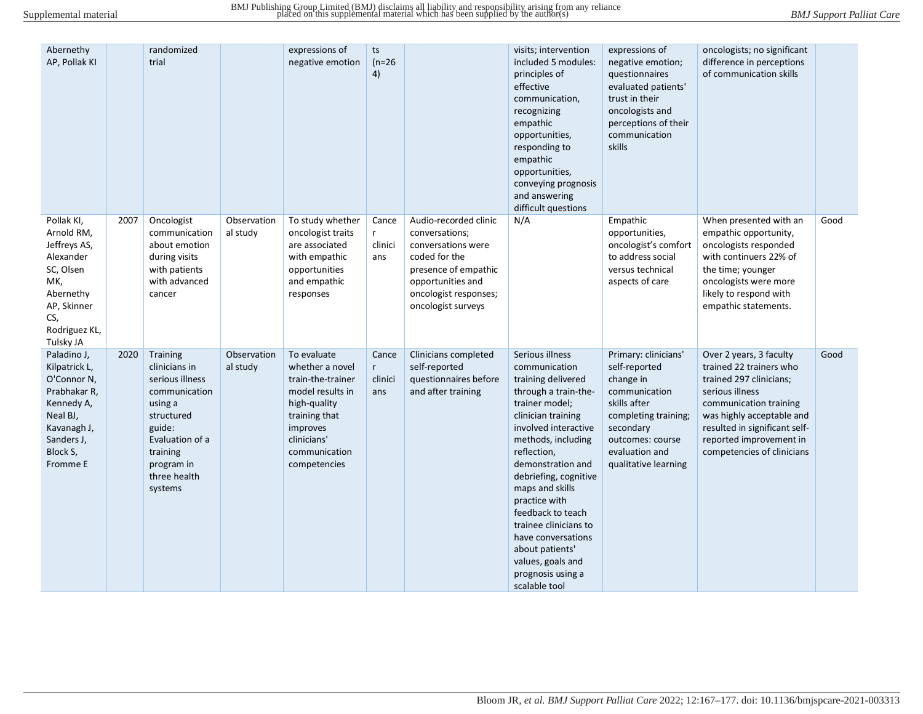| Abernethy<br>AP, Pollak KI                                                                                                                 |      | randomized<br>trial                                                                                                                                                      |                         | expressions of<br>negative emotion                                                                                                                                   | ts<br>$(n=26)$<br>4)                 |                                                                                                                                                                            | visits; intervention<br>included 5 modules:<br>principles of<br>effective<br>communication,<br>recognizing<br>empathic<br>opportunities,<br>responding to<br>empathic<br>opportunities,<br>conveying prognosis<br>and answering<br>difficult questions                                                                                                                                                                  | expressions of<br>negative emotion;<br>questionnaires<br>evaluated patients'<br>trust in their<br>oncologists and<br>perceptions of their<br>communication<br>skills                   | oncologists; no significant<br>difference in perceptions<br>of communication skills                                                                                                                                                               |      |
|--------------------------------------------------------------------------------------------------------------------------------------------|------|--------------------------------------------------------------------------------------------------------------------------------------------------------------------------|-------------------------|----------------------------------------------------------------------------------------------------------------------------------------------------------------------|--------------------------------------|----------------------------------------------------------------------------------------------------------------------------------------------------------------------------|-------------------------------------------------------------------------------------------------------------------------------------------------------------------------------------------------------------------------------------------------------------------------------------------------------------------------------------------------------------------------------------------------------------------------|----------------------------------------------------------------------------------------------------------------------------------------------------------------------------------------|---------------------------------------------------------------------------------------------------------------------------------------------------------------------------------------------------------------------------------------------------|------|
| Pollak KI,<br>Arnold RM,<br>Jeffreys AS,<br>Alexander<br>SC, Olsen<br>MK,<br>Abernethy<br>AP, Skinner<br>CS,<br>Rodriguez KL,<br>Tulsky JA | 2007 | Oncologist<br>communication<br>about emotion<br>during visits<br>with patients<br>with advanced<br>cancer                                                                | Observation<br>al study | To study whether<br>oncologist traits<br>are associated<br>with empathic<br>opportunities<br>and empathic<br>responses                                               | Cance<br>r<br>clinici<br>ans         | Audio-recorded clinic<br>conversations;<br>conversations were<br>coded for the<br>presence of empathic<br>opportunities and<br>oncologist responses;<br>oncologist surveys | N/A                                                                                                                                                                                                                                                                                                                                                                                                                     | Empathic<br>opportunities,<br>oncologist's comfort<br>to address social<br>versus technical<br>aspects of care                                                                         | When presented with an<br>empathic opportunity,<br>oncologists responded<br>with continuers 22% of<br>the time; younger<br>oncologists were more<br>likely to respond with<br>empathic statements.                                                | Good |
| Paladino J,<br>Kilpatrick L,<br>O'Connor N,<br>Prabhakar R,<br>Kennedy A,<br>Neal BJ,<br>Kavanagh J,<br>Sanders J,<br>Block S,<br>Fromme E | 2020 | Training<br>clinicians in<br>serious illness<br>communication<br>using a<br>structured<br>guide:<br>Evaluation of a<br>training<br>program in<br>three health<br>systems | Observation<br>al study | To evaluate<br>whether a novel<br>train-the-trainer<br>model results in<br>high-quality<br>training that<br>improves<br>clinicians'<br>communication<br>competencies | Cance<br>$r_{\rm}$<br>clinici<br>ans | Clinicians completed<br>self-reported<br>questionnaires before<br>and after training                                                                                       | Serious illness<br>communication<br>training delivered<br>through a train-the-<br>trainer model;<br>clinician training<br>involved interactive<br>methods, including<br>reflection,<br>demonstration and<br>debriefing, cognitive<br>maps and skills<br>practice with<br>feedback to teach<br>trainee clinicians to<br>have conversations<br>about patients'<br>values, goals and<br>prognosis using a<br>scalable tool | Primary: clinicians'<br>self-reported<br>change in<br>communication<br>skills after<br>completing training;<br>secondary<br>outcomes: course<br>evaluation and<br>qualitative learning | Over 2 years, 3 faculty<br>trained 22 trainers who<br>trained 297 clinicians;<br>serious illness<br>communication training<br>was highly acceptable and<br>resulted in significant self-<br>reported improvement in<br>competencies of clinicians | Good |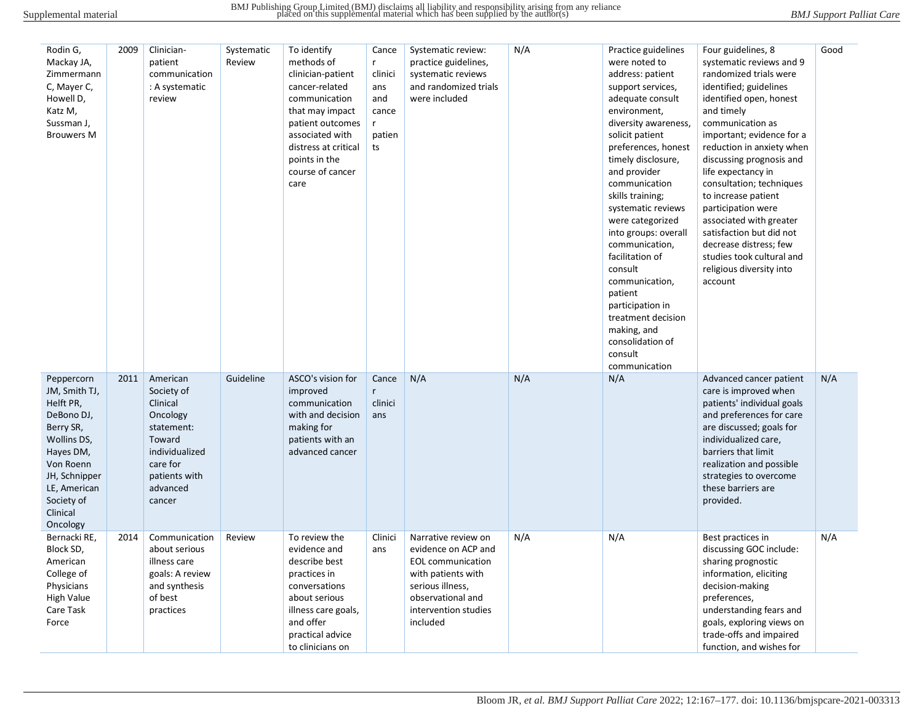| Rodin G,<br>Mackay JA,<br>Zimmermann<br>C, Mayer C,<br>Howell D,<br>Katz M,<br>Sussman J,<br><b>Brouwers M</b>                                                                      | 2009 | Clinician-<br>patient<br>communication<br>: A systematic<br>review                                                                          | Systematic<br>Review | To identify<br>methods of<br>clinician-patient<br>cancer-related<br>communication<br>that may impact<br>patient outcomes<br>associated with<br>distress at critical<br>points in the<br>course of cancer<br>care | Cance<br>$\mathsf{r}$<br>clinici<br>ans<br>and<br>cance<br>$\mathsf{r}$<br>patien<br>ts | Systematic review:<br>practice guidelines,<br>systematic reviews<br>and randomized trials<br>were included                                                                | N/A | Practice guidelines<br>were noted to<br>address: patient<br>support services,<br>adequate consult<br>environment,<br>diversity awareness,<br>solicit patient<br>preferences, honest<br>timely disclosure,<br>and provider<br>communication<br>skills training;<br>systematic reviews<br>were categorized<br>into groups: overall<br>communication,<br>facilitation of<br>consult<br>communication,<br>patient<br>participation in<br>treatment decision<br>making, and<br>consolidation of<br>consult<br>communication | Four guidelines, 8<br>systematic reviews and 9<br>randomized trials were<br>identified; guidelines<br>identified open, honest<br>and timely<br>communication as<br>important; evidence for a<br>reduction in anxiety when<br>discussing prognosis and<br>life expectancy in<br>consultation; techniques<br>to increase patient<br>participation were<br>associated with greater<br>satisfaction but did not<br>decrease distress; few<br>studies took cultural and<br>religious diversity into<br>account | Good |
|-------------------------------------------------------------------------------------------------------------------------------------------------------------------------------------|------|---------------------------------------------------------------------------------------------------------------------------------------------|----------------------|------------------------------------------------------------------------------------------------------------------------------------------------------------------------------------------------------------------|-----------------------------------------------------------------------------------------|---------------------------------------------------------------------------------------------------------------------------------------------------------------------------|-----|------------------------------------------------------------------------------------------------------------------------------------------------------------------------------------------------------------------------------------------------------------------------------------------------------------------------------------------------------------------------------------------------------------------------------------------------------------------------------------------------------------------------|-----------------------------------------------------------------------------------------------------------------------------------------------------------------------------------------------------------------------------------------------------------------------------------------------------------------------------------------------------------------------------------------------------------------------------------------------------------------------------------------------------------|------|
| Peppercorn<br>JM, Smith TJ,<br>Helft PR,<br>DeBono DJ,<br>Berry SR,<br>Wollins DS,<br>Hayes DM,<br>Von Roenn<br>JH, Schnipper<br>LE, American<br>Society of<br>Clinical<br>Oncology | 2011 | American<br>Society of<br>Clinical<br>Oncology<br>statement:<br>Toward<br>individualized<br>care for<br>patients with<br>advanced<br>cancer | Guideline            | ASCO's vision for<br>improved<br>communication<br>with and decision<br>making for<br>patients with an<br>advanced cancer                                                                                         | Cance<br>$r_{\parallel}$<br>clinici<br>ans                                              | N/A                                                                                                                                                                       | N/A | N/A                                                                                                                                                                                                                                                                                                                                                                                                                                                                                                                    | Advanced cancer patient<br>care is improved when<br>patients' individual goals<br>and preferences for care<br>are discussed; goals for<br>individualized care,<br>barriers that limit<br>realization and possible<br>strategies to overcome<br>these barriers are<br>provided.                                                                                                                                                                                                                            | N/A  |
| Bernacki RE,<br>Block SD,<br>American<br>College of<br>Physicians<br>High Value<br>Care Task<br>Force                                                                               | 2014 | Communication<br>about serious<br>illness care<br>goals: A review<br>and synthesis<br>of best<br>practices                                  | Review               | To review the<br>evidence and<br>describe best<br>practices in<br>conversations<br>about serious<br>illness care goals,<br>and offer<br>practical advice<br>to clinicians on                                     | Clinici<br>ans                                                                          | Narrative review on<br>evidence on ACP and<br><b>EOL</b> communication<br>with patients with<br>serious illness,<br>observational and<br>intervention studies<br>included | N/A | N/A                                                                                                                                                                                                                                                                                                                                                                                                                                                                                                                    | Best practices in<br>discussing GOC include:<br>sharing prognostic<br>information, eliciting<br>decision-making<br>preferences,<br>understanding fears and<br>goals, exploring views on<br>trade-offs and impaired<br>function, and wishes for                                                                                                                                                                                                                                                            | N/A  |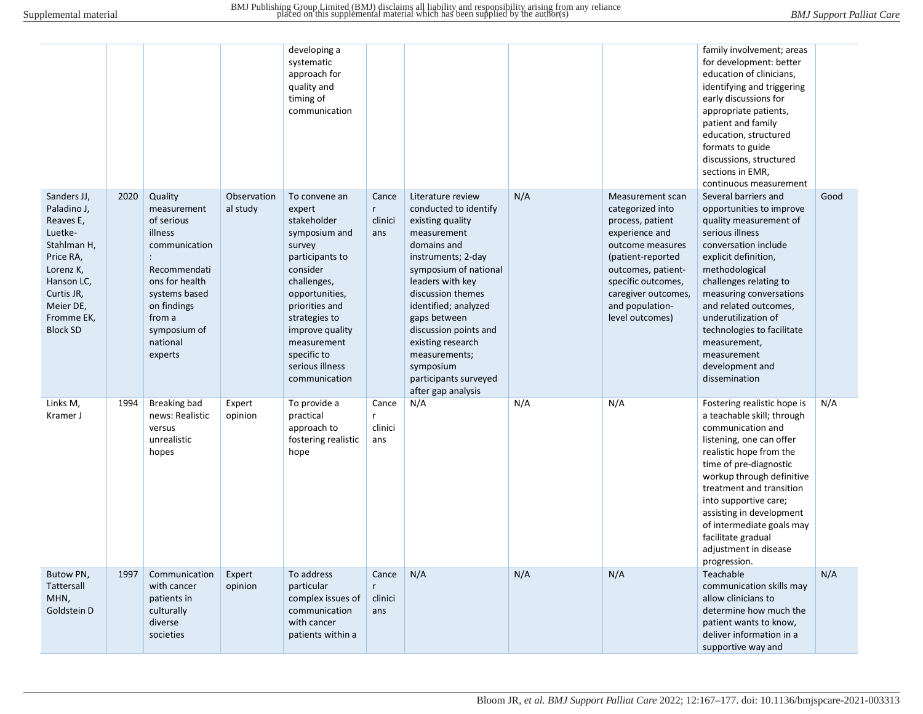|                                                                                                                                                                       |      |                                                                                                                                                                                     |                         | developing a<br>systematic<br>approach for<br>quality and<br>timing of<br>communication                                                                                                                                                                   |                                         |                                                                                                                                                                                                                                                                                                                                                         |     |                                                                                                                                                                                                                              | family involvement; areas<br>for development: better<br>education of clinicians,<br>identifying and triggering<br>early discussions for<br>appropriate patients,<br>patient and family<br>education, structured<br>formats to guide<br>discussions, structured<br>sections in EMR,<br>continuous measurement                                                              |      |
|-----------------------------------------------------------------------------------------------------------------------------------------------------------------------|------|-------------------------------------------------------------------------------------------------------------------------------------------------------------------------------------|-------------------------|-----------------------------------------------------------------------------------------------------------------------------------------------------------------------------------------------------------------------------------------------------------|-----------------------------------------|---------------------------------------------------------------------------------------------------------------------------------------------------------------------------------------------------------------------------------------------------------------------------------------------------------------------------------------------------------|-----|------------------------------------------------------------------------------------------------------------------------------------------------------------------------------------------------------------------------------|---------------------------------------------------------------------------------------------------------------------------------------------------------------------------------------------------------------------------------------------------------------------------------------------------------------------------------------------------------------------------|------|
| Sanders JJ,<br>Paladino J,<br>Reaves E,<br>Luetke-<br>Stahlman H,<br>Price RA,<br>Lorenz K,<br>Hanson LC,<br>Curtis JR,<br>Meier DE,<br>Fromme EK,<br><b>Block SD</b> | 2020 | Quality<br>measurement<br>of serious<br>illness<br>communication<br>Recommendati<br>ons for health<br>systems based<br>on findings<br>from a<br>symposium of<br>national<br>experts | Observation<br>al study | To convene an<br>expert<br>stakeholder<br>symposium and<br>survey<br>participants to<br>consider<br>challenges,<br>opportunities,<br>priorities and<br>strategies to<br>improve quality<br>measurement<br>specific to<br>serious illness<br>communication | Cance<br>$r_{\rm}$<br>clinici<br>ans    | Literature review<br>conducted to identify<br>existing quality<br>measurement<br>domains and<br>instruments; 2-day<br>symposium of national<br>leaders with key<br>discussion themes<br>identified; analyzed<br>gaps between<br>discussion points and<br>existing research<br>measurements;<br>symposium<br>participants surveyed<br>after gap analysis | N/A | Measurement scan<br>categorized into<br>process, patient<br>experience and<br>outcome measures<br>(patient-reported<br>outcomes, patient-<br>specific outcomes,<br>caregiver outcomes,<br>and population-<br>level outcomes) | Several barriers and<br>opportunities to improve<br>quality measurement of<br>serious illness<br>conversation include<br>explicit definition,<br>methodological<br>challenges relating to<br>measuring conversations<br>and related outcomes,<br>underutilization of<br>technologies to facilitate<br>measurement,<br>measurement<br>development and<br>dissemination     | Good |
| Links M,<br>Kramer J                                                                                                                                                  | 1994 | <b>Breaking bad</b><br>news: Realistic<br>versus<br>unrealistic<br>hopes                                                                                                            | Expert<br>opinion       | To provide a<br>practical<br>approach to<br>fostering realistic<br>hope                                                                                                                                                                                   | Cance<br>$\mathsf{r}$<br>clinici<br>ans | N/A                                                                                                                                                                                                                                                                                                                                                     | N/A | N/A                                                                                                                                                                                                                          | Fostering realistic hope is<br>a teachable skill; through<br>communication and<br>listening, one can offer<br>realistic hope from the<br>time of pre-diagnostic<br>workup through definitive<br>treatment and transition<br>into supportive care;<br>assisting in development<br>of intermediate goals may<br>facilitate gradual<br>adjustment in disease<br>progression. | N/A  |
| Butow PN,<br>Tattersall<br>MHN,<br>Goldstein D                                                                                                                        | 1997 | Communication<br>with cancer<br>patients in<br>culturally<br>diverse<br>societies                                                                                                   | Expert<br>opinion       | To address<br>particular<br>complex issues of<br>communication<br>with cancer<br>patients within a                                                                                                                                                        | Cance<br>$\mathsf{r}$<br>clinici<br>ans | N/A                                                                                                                                                                                                                                                                                                                                                     | N/A | N/A                                                                                                                                                                                                                          | Teachable<br>communication skills may<br>allow clinicians to<br>determine how much the<br>patient wants to know,<br>deliver information in a<br>supportive way and                                                                                                                                                                                                        | N/A  |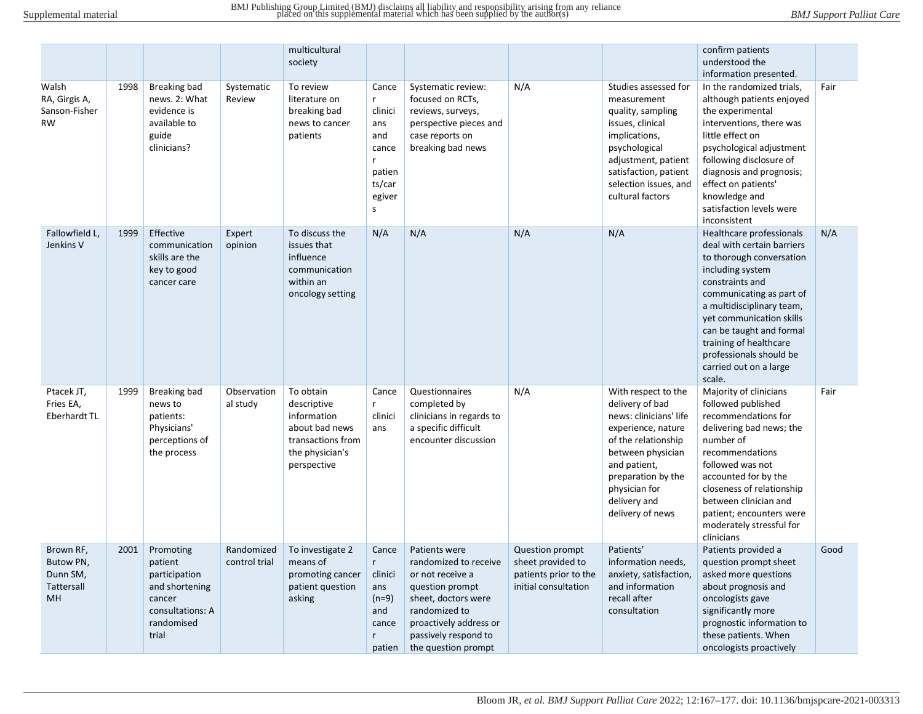|                                                               |      |                                                                                                              |                             | multicultural<br>society                                                                                         |                                                                                            |                                                                                                                                                                                                |                                                                                              |                                                                                                                                                                                                                               | confirm patients<br>understood the<br>information presented.                                                                                                                                                                                                                                                                        |      |
|---------------------------------------------------------------|------|--------------------------------------------------------------------------------------------------------------|-----------------------------|------------------------------------------------------------------------------------------------------------------|--------------------------------------------------------------------------------------------|------------------------------------------------------------------------------------------------------------------------------------------------------------------------------------------------|----------------------------------------------------------------------------------------------|-------------------------------------------------------------------------------------------------------------------------------------------------------------------------------------------------------------------------------|-------------------------------------------------------------------------------------------------------------------------------------------------------------------------------------------------------------------------------------------------------------------------------------------------------------------------------------|------|
| Walsh<br>RA, Girgis A,<br>Sanson-Fisher<br><b>RW</b>          | 1998 | <b>Breaking bad</b><br>news. 2: What<br>evidence is<br>available to<br>guide<br>clinicians?                  | Systematic<br>Review        | To review<br>literature on<br>breaking bad<br>news to cancer<br>patients                                         | Cance<br>r<br>clinici<br>ans<br>and<br>cance<br>patien<br>ts/car<br>egiver<br>$\mathsf{s}$ | Systematic review:<br>focused on RCTs,<br>reviews, surveys,<br>perspective pieces and<br>case reports on<br>breaking bad news                                                                  | N/A                                                                                          | Studies assessed for<br>measurement<br>quality, sampling<br>issues, clinical<br>implications,<br>psychological<br>adjustment, patient<br>satisfaction, patient<br>selection issues, and<br>cultural factors                   | In the randomized trials,<br>although patients enjoyed<br>the experimental<br>interventions, there was<br>little effect on<br>psychological adjustment<br>following disclosure of<br>diagnosis and prognosis;<br>effect on patients'<br>knowledge and<br>satisfaction levels were<br>inconsistent                                   | Fair |
| Fallowfield L.<br>Jenkins V                                   | 1999 | Effective<br>communication<br>skills are the<br>key to good<br>cancer care                                   | Expert<br>opinion           | To discuss the<br>issues that<br>influence<br>communication<br>within an<br>oncology setting                     | N/A                                                                                        | N/A                                                                                                                                                                                            | N/A                                                                                          | N/A                                                                                                                                                                                                                           | Healthcare professionals<br>deal with certain barriers<br>to thorough conversation<br>including system<br>constraints and<br>communicating as part of<br>a multidisciplinary team,<br>yet communication skills<br>can be taught and formal<br>training of healthcare<br>professionals should be<br>carried out on a large<br>scale. | N/A  |
| Ptacek JT,<br>Fries EA,<br><b>Eberhardt TL</b>                | 1999 | Breaking bad<br>news to<br>patients:<br>Physicians'<br>perceptions of<br>the process                         | Observation<br>al study     | To obtain<br>descriptive<br>information<br>about bad news<br>transactions from<br>the physician's<br>perspective | Cance<br>$\mathsf{r}$<br>clinici<br>ans                                                    | Questionnaires<br>completed by<br>clinicians in regards to<br>a specific difficult<br>encounter discussion                                                                                     | N/A                                                                                          | With respect to the<br>delivery of bad<br>news: clinicians' life<br>experience, nature<br>of the relationship<br>between physician<br>and patient,<br>preparation by the<br>physician for<br>delivery and<br>delivery of news | Majority of clinicians<br>followed published<br>recommendations for<br>delivering bad news; the<br>number of<br>recommendations<br>followed was not<br>accounted for by the<br>closeness of relationship<br>between clinician and<br>patient; encounters were<br>moderately stressful for<br>clinicians                             | Fair |
| Brown RF,<br>Butow PN,<br>Dunn SM,<br>Tattersall<br><b>MH</b> | 2001 | Promoting<br>patient<br>participation<br>and shortening<br>cancer<br>consultations: A<br>randomised<br>trial | Randomized<br>control trial | To investigate 2<br>means of<br>promoting cancer<br>patient question<br>asking                                   | Cance<br>$r_{\rm}$<br>clinici<br>ans<br>$(n=9)$<br>and<br>cance<br>$\mathsf{r}$<br>patien  | Patients were<br>randomized to receive<br>or not receive a<br>question prompt<br>sheet, doctors were<br>randomized to<br>proactively address or<br>passively respond to<br>the question prompt | <b>Question prompt</b><br>sheet provided to<br>patients prior to the<br>initial consultation | Patients'<br>information needs,<br>anxiety, satisfaction,<br>and information<br>recall after<br>consultation                                                                                                                  | Patients provided a<br>question prompt sheet<br>asked more questions<br>about prognosis and<br>oncologists gave<br>significantly more<br>prognostic information to<br>these patients. When<br>oncologists proactively                                                                                                               | Good |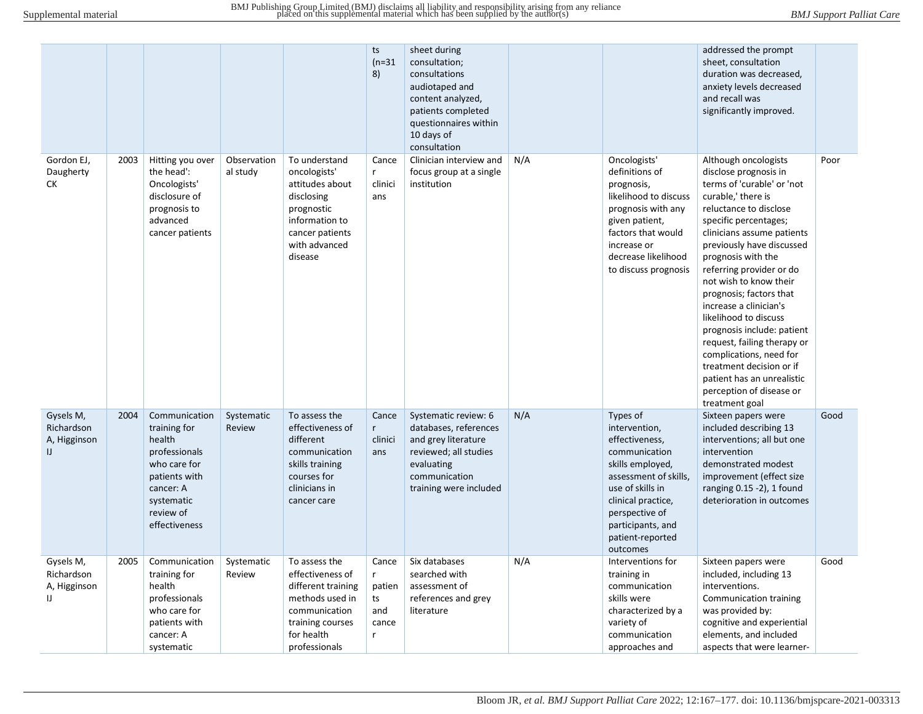|                                                         |      |                                                                                                                                                    |                         |                                                                                                                                                | ts<br>$(n=31)$<br>8)                            | sheet during<br>consultation;<br>consultations<br>audiotaped and<br>content analyzed,<br>patients completed<br>questionnaires within<br>10 days of<br>consultation |     |                                                                                                                                                                                                                            | addressed the prompt<br>sheet, consultation<br>duration was decreased,<br>anxiety levels decreased<br>and recall was<br>significantly improved.                                                                                                                                                                                                                                                                                                                                                                                                                           |      |
|---------------------------------------------------------|------|----------------------------------------------------------------------------------------------------------------------------------------------------|-------------------------|------------------------------------------------------------------------------------------------------------------------------------------------|-------------------------------------------------|--------------------------------------------------------------------------------------------------------------------------------------------------------------------|-----|----------------------------------------------------------------------------------------------------------------------------------------------------------------------------------------------------------------------------|---------------------------------------------------------------------------------------------------------------------------------------------------------------------------------------------------------------------------------------------------------------------------------------------------------------------------------------------------------------------------------------------------------------------------------------------------------------------------------------------------------------------------------------------------------------------------|------|
| Gordon EJ,<br>Daugherty<br>СK                           | 2003 | Hitting you over<br>the head':<br>Oncologists'<br>disclosure of<br>prognosis to<br>advanced<br>cancer patients                                     | Observation<br>al study | To understand<br>oncologists'<br>attitudes about<br>disclosing<br>prognostic<br>information to<br>cancer patients<br>with advanced<br>disease  | Cance<br>r.<br>clinici<br>ans                   | Clinician interview and<br>focus group at a single<br>institution                                                                                                  | N/A | Oncologists'<br>definitions of<br>prognosis,<br>likelihood to discuss<br>prognosis with any<br>given patient,<br>factors that would<br>increase or<br>decrease likelihood<br>to discuss prognosis                          | Although oncologists<br>disclose prognosis in<br>terms of 'curable' or 'not<br>curable,' there is<br>reluctance to disclose<br>specific percentages;<br>clinicians assume patients<br>previously have discussed<br>prognosis with the<br>referring provider or do<br>not wish to know their<br>prognosis; factors that<br>increase a clinician's<br>likelihood to discuss<br>prognosis include: patient<br>request, failing therapy or<br>complications, need for<br>treatment decision or if<br>patient has an unrealistic<br>perception of disease or<br>treatment goal | Poor |
| Gysels M,<br>Richardson<br>A, Higginson<br>$\mathbf{U}$ | 2004 | Communication<br>training for<br>health<br>professionals<br>who care for<br>patients with<br>cancer: A<br>systematic<br>review of<br>effectiveness | Systematic<br>Review    | To assess the<br>effectiveness of<br>different<br>communication<br>skills training<br>courses for<br>clinicians in<br>cancer care              | Cance<br>r<br>clinici<br>ans                    | Systematic review: 6<br>databases, references<br>and grey literature<br>reviewed; all studies<br>evaluating<br>communication<br>training were included             | N/A | Types of<br>intervention,<br>effectiveness,<br>communication<br>skills employed,<br>assessment of skills,<br>use of skills in<br>clinical practice,<br>perspective of<br>participants, and<br>patient-reported<br>outcomes | Sixteen papers were<br>included describing 13<br>interventions; all but one<br>intervention<br>demonstrated modest<br>improvement (effect size<br>ranging 0.15 -2), 1 found<br>deterioration in outcomes                                                                                                                                                                                                                                                                                                                                                                  | Good |
| Gysels M,<br>Richardson<br>A, Higginson<br>IJ           | 2005 | Communication<br>training for<br>health<br>professionals<br>who care for<br>patients with<br>cancer: A<br>systematic                               | Systematic<br>Review    | To assess the<br>effectiveness of<br>different training<br>methods used in<br>communication<br>training courses<br>for health<br>professionals | Cance<br>r<br>patien<br>ts<br>and<br>cance<br>r | Six databases<br>searched with<br>assessment of<br>references and grey<br>literature                                                                               | N/A | Interventions for<br>training in<br>communication<br>skills were<br>characterized by a<br>variety of<br>communication<br>approaches and                                                                                    | Sixteen papers were<br>included, including 13<br>interventions.<br>Communication training<br>was provided by:<br>cognitive and experiential<br>elements, and included<br>aspects that were learner-                                                                                                                                                                                                                                                                                                                                                                       | Good |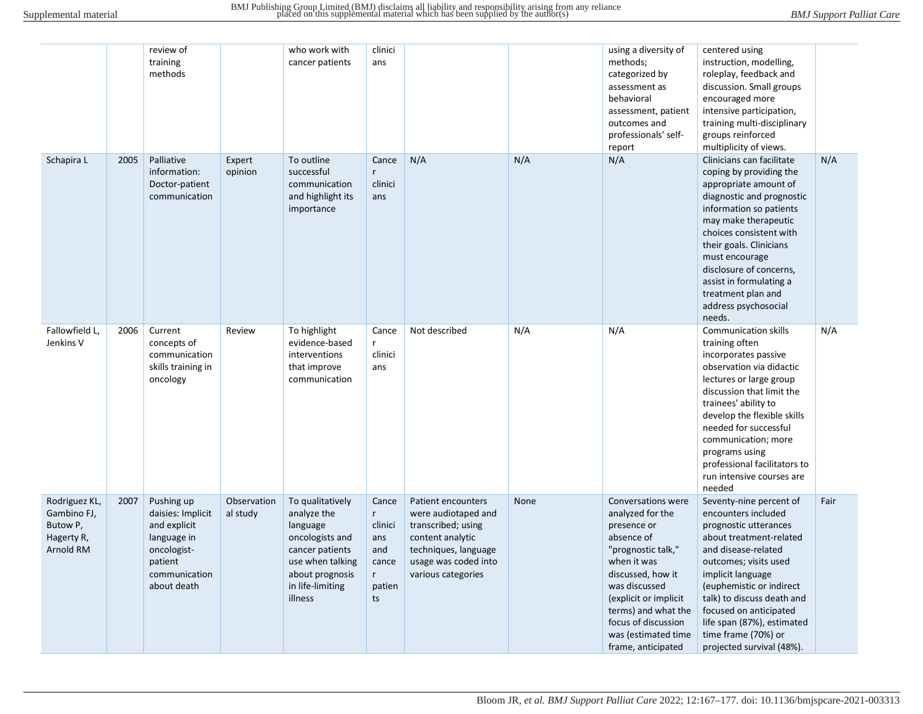|                                                                     |      | review of<br>training<br>methods                                                                                         |                         | who work with<br>cancer patients                                                                                                                        | clinici<br>ans                                                             |                                                                                                                                                           |      | using a diversity of<br>methods;<br>categorized by<br>assessment as<br>behavioral<br>assessment, patient<br>outcomes and<br>professionals' self-<br>report                                                                                                         | centered using<br>instruction, modelling,<br>roleplay, feedback and<br>discussion. Small groups<br>encouraged more<br>intensive participation,<br>training multi-disciplinary<br>groups reinforced<br>multiplicity of views.                                                                                                                              |      |
|---------------------------------------------------------------------|------|--------------------------------------------------------------------------------------------------------------------------|-------------------------|---------------------------------------------------------------------------------------------------------------------------------------------------------|----------------------------------------------------------------------------|-----------------------------------------------------------------------------------------------------------------------------------------------------------|------|--------------------------------------------------------------------------------------------------------------------------------------------------------------------------------------------------------------------------------------------------------------------|-----------------------------------------------------------------------------------------------------------------------------------------------------------------------------------------------------------------------------------------------------------------------------------------------------------------------------------------------------------|------|
| Schapira L                                                          | 2005 | Palliative<br>information:<br>Doctor-patient<br>communication                                                            | Expert<br>opinion       | To outline<br>successful<br>communication<br>and highlight its<br>importance                                                                            | Cance<br>r<br>clinici<br>ans                                               | N/A                                                                                                                                                       | N/A  | N/A                                                                                                                                                                                                                                                                | Clinicians can facilitate<br>coping by providing the<br>appropriate amount of<br>diagnostic and prognostic<br>information so patients<br>may make therapeutic<br>choices consistent with<br>their goals. Clinicians<br>must encourage<br>disclosure of concerns,<br>assist in formulating a<br>treatment plan and<br>address psychosocial<br>needs.       | N/A  |
| Fallowfield L,<br>Jenkins V                                         | 2006 | Current<br>concepts of<br>communication<br>skills training in<br>oncology                                                | Review                  | To highlight<br>evidence-based<br>interventions<br>that improve<br>communication                                                                        | Cance<br>r<br>clinici<br>ans                                               | Not described                                                                                                                                             | N/A  | N/A                                                                                                                                                                                                                                                                | <b>Communication skills</b><br>training often<br>incorporates passive<br>observation via didactic<br>lectures or large group<br>discussion that limit the<br>trainees' ability to<br>develop the flexible skills<br>needed for successful<br>communication; more<br>programs using<br>professional facilitators to<br>run intensive courses are<br>needed | N/A  |
| Rodriguez KL,<br>Gambino FJ,<br>Butow P,<br>Hagerty R,<br>Arnold RM | 2007 | Pushing up<br>daisies: Implicit<br>and explicit<br>language in<br>oncologist-<br>patient<br>communication<br>about death | Observation<br>al study | To qualitatively<br>analyze the<br>language<br>oncologists and<br>cancer patients<br>use when talking<br>about prognosis<br>in life-limiting<br>illness | Cance<br>r.<br>clinici<br>ans<br>and<br>cance<br>$r_{\rm}$<br>patien<br>ts | Patient encounters<br>were audiotaped and<br>transcribed; using<br>content analytic<br>techniques, language<br>usage was coded into<br>various categories | None | Conversations were<br>analyzed for the<br>presence or<br>absence of<br>"prognostic talk,"<br>when it was<br>discussed, how it<br>was discussed<br>(explicit or implicit<br>terms) and what the<br>focus of discussion<br>was (estimated time<br>frame, anticipated | Seventy-nine percent of<br>encounters included<br>prognostic utterances<br>about treatment-related<br>and disease-related<br>outcomes; visits used<br>implicit language<br>(euphemistic or indirect<br>talk) to discuss death and<br>focused on anticipated<br>life span (87%), estimated<br>time frame (70%) or<br>projected survival (48%).             | Fair |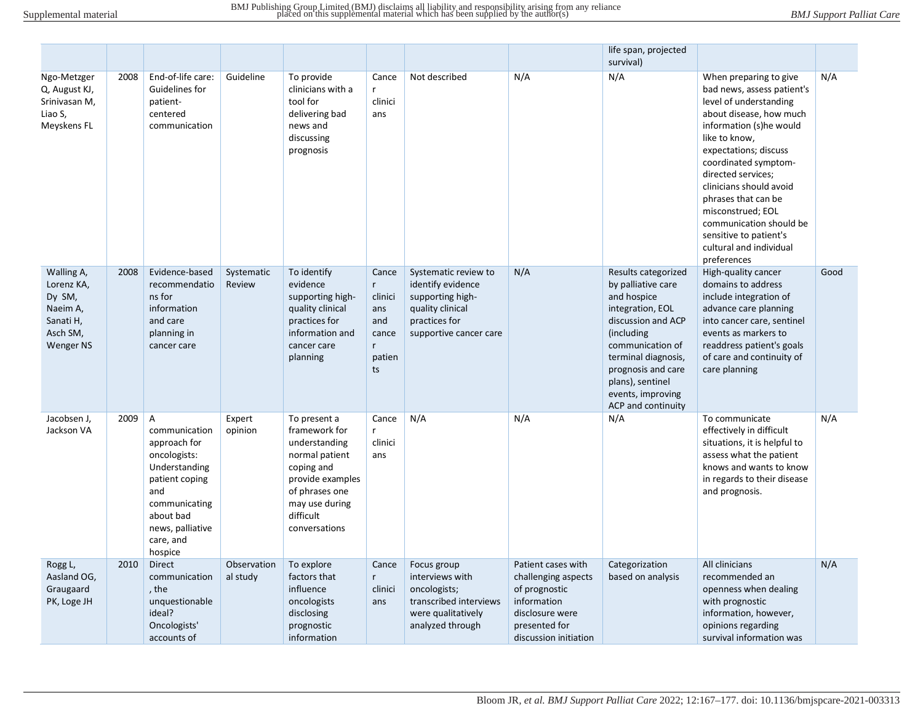|                                                                                      |      |                                                                                                                                                                                   |                         |                                                                                                                                                                      |                                                                                   |                                                                                                                              |                                           | life span, projected<br>survival)                                                                                                                                                                                                                 |                                                                                                                                                                                                                                                                                                                                                                                                    |      |
|--------------------------------------------------------------------------------------|------|-----------------------------------------------------------------------------------------------------------------------------------------------------------------------------------|-------------------------|----------------------------------------------------------------------------------------------------------------------------------------------------------------------|-----------------------------------------------------------------------------------|------------------------------------------------------------------------------------------------------------------------------|-------------------------------------------|---------------------------------------------------------------------------------------------------------------------------------------------------------------------------------------------------------------------------------------------------|----------------------------------------------------------------------------------------------------------------------------------------------------------------------------------------------------------------------------------------------------------------------------------------------------------------------------------------------------------------------------------------------------|------|
| Ngo-Metzger<br>Q, August KJ,<br>Srinivasan M,<br>Liao S,<br>Meyskens FL              | 2008 | End-of-life care:<br>Guidelines for<br>patient-<br>centered<br>communication                                                                                                      | Guideline               | To provide<br>clinicians with a<br>tool for<br>delivering bad<br>news and<br>discussing<br>prognosis                                                                 | Cance<br>r<br>clinici<br>ans                                                      | Not described                                                                                                                | N/A                                       | N/A                                                                                                                                                                                                                                               | When preparing to give<br>bad news, assess patient's<br>level of understanding<br>about disease, how much<br>information (s)he would<br>like to know,<br>expectations; discuss<br>coordinated symptom-<br>directed services;<br>clinicians should avoid<br>phrases that can be<br>misconstrued; EOL<br>communication should be<br>sensitive to patient's<br>cultural and individual<br>preferences | N/A  |
| Walling A,<br>Lorenz KA,<br>Dy SM,<br>Naeim A,<br>Sanati H,<br>Asch SM,<br>Wenger NS | 2008 | Evidence-based<br>recommendatio<br>ns for<br>information<br>and care<br>planning in<br>cancer care                                                                                | Systematic<br>Review    | To identify<br>evidence<br>supporting high-<br>quality clinical<br>practices for<br>information and<br>cancer care<br>planning                                       | Cance<br>$r_{\rm}$<br>clinici<br>ans<br>and<br>cance<br>$r_{\rm}$<br>patien<br>ts | Systematic review to<br>identify evidence<br>supporting high-<br>quality clinical<br>practices for<br>supportive cancer care | N/A                                       | Results categorized<br>by palliative care<br>and hospice<br>integration, EOL<br>discussion and ACP<br>(including)<br>communication of<br>terminal diagnosis,<br>prognosis and care<br>plans), sentinel<br>events, improving<br>ACP and continuity | High-quality cancer<br>domains to address<br>include integration of<br>advance care planning<br>into cancer care, sentinel<br>events as markers to<br>readdress patient's goals<br>of care and continuity of<br>care planning                                                                                                                                                                      | Good |
| Jacobsen J,<br>Jackson VA                                                            | 2009 | $\mathsf{A}$<br>communication<br>approach for<br>oncologists:<br>Understanding<br>patient coping<br>and<br>communicating<br>about bad<br>news, palliative<br>care, and<br>hospice | Expert<br>opinion       | To present a<br>framework for<br>understanding<br>normal patient<br>coping and<br>provide examples<br>of phrases one<br>may use during<br>difficult<br>conversations | Cance<br>$\mathsf{r}$<br>clinici<br>ans                                           | N/A                                                                                                                          | N/A                                       | N/A                                                                                                                                                                                                                                               | To communicate<br>effectively in difficult<br>situations, it is helpful to<br>assess what the patient<br>knows and wants to know<br>in regards to their disease<br>and prognosis.                                                                                                                                                                                                                  | N/A  |
| Rogg L,<br>Aasland OG,                                                               | 2010 | <b>Direct</b><br>communication                                                                                                                                                    | Observation<br>al study | To explore<br>factors that                                                                                                                                           | Cance<br>$r_{\rm}$                                                                | Focus group<br>interviews with                                                                                               | Patient cases with<br>challenging aspects | Categorization<br>based on analysis                                                                                                                                                                                                               | All clinicians<br>recommended an                                                                                                                                                                                                                                                                                                                                                                   | N/A  |
| Graugaard                                                                            |      | , the                                                                                                                                                                             |                         | influence                                                                                                                                                            | clinici                                                                           | oncologists;                                                                                                                 | of prognostic                             |                                                                                                                                                                                                                                                   | openness when dealing                                                                                                                                                                                                                                                                                                                                                                              |      |
| PK, Loge JH                                                                          |      | unquestionable<br>ideal?                                                                                                                                                          |                         | oncologists<br>disclosing                                                                                                                                            | ans                                                                               | transcribed interviews<br>were qualitatively                                                                                 | information<br>disclosure were            |                                                                                                                                                                                                                                                   | with prognostic<br>information, however,                                                                                                                                                                                                                                                                                                                                                           |      |
|                                                                                      |      | Oncologists'<br>accounts of                                                                                                                                                       |                         | prognostic<br>information                                                                                                                                            |                                                                                   | analyzed through                                                                                                             | presented for<br>discussion initiation    |                                                                                                                                                                                                                                                   | opinions regarding<br>survival information was                                                                                                                                                                                                                                                                                                                                                     |      |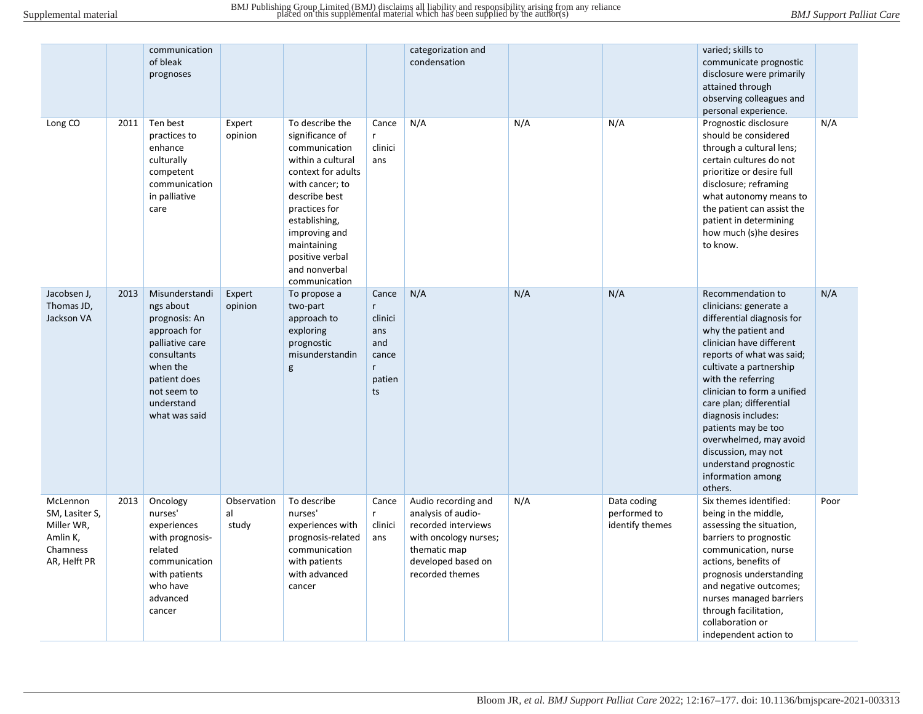|                                                                                  |      | communication<br>of bleak<br>prognoses                                                                                                                                   |                            |                                                                                                                                                                                                                                                           |                                                                              | categorization and<br>condensation                                                                                                                 |     |                                                | varied; skills to<br>communicate prognostic<br>disclosure were primarily<br>attained through<br>observing colleagues and<br>personal experience.                                                                                                                                                                                                                                                                             |      |
|----------------------------------------------------------------------------------|------|--------------------------------------------------------------------------------------------------------------------------------------------------------------------------|----------------------------|-----------------------------------------------------------------------------------------------------------------------------------------------------------------------------------------------------------------------------------------------------------|------------------------------------------------------------------------------|----------------------------------------------------------------------------------------------------------------------------------------------------|-----|------------------------------------------------|------------------------------------------------------------------------------------------------------------------------------------------------------------------------------------------------------------------------------------------------------------------------------------------------------------------------------------------------------------------------------------------------------------------------------|------|
| Long <sub>CO</sub>                                                               | 2011 | Ten best<br>practices to<br>enhance<br>culturally<br>competent<br>communication<br>in palliative<br>care                                                                 | Expert<br>opinion          | To describe the<br>significance of<br>communication<br>within a cultural<br>context for adults<br>with cancer; to<br>describe best<br>practices for<br>establishing,<br>improving and<br>maintaining<br>positive verbal<br>and nonverbal<br>communication | Cance<br>r<br>clinici<br>ans                                                 | N/A                                                                                                                                                | N/A | N/A                                            | Prognostic disclosure<br>should be considered<br>through a cultural lens;<br>certain cultures do not<br>prioritize or desire full<br>disclosure; reframing<br>what autonomy means to<br>the patient can assist the<br>patient in determining<br>how much (s)he desires<br>to know.                                                                                                                                           | N/A  |
| Jacobsen J,<br>Thomas JD,<br>Jackson VA                                          | 2013 | Misunderstandi<br>ngs about<br>prognosis: An<br>approach for<br>palliative care<br>consultants<br>when the<br>patient does<br>not seem to<br>understand<br>what was said | Expert<br>opinion          | To propose a<br>two-part<br>approach to<br>exploring<br>prognostic<br>misunderstandin<br>g                                                                                                                                                                | Cance<br>r<br>clinici<br>ans<br>and<br>cance<br>$\mathsf{r}$<br>patien<br>ts | N/A                                                                                                                                                | N/A | N/A                                            | Recommendation to<br>clinicians: generate a<br>differential diagnosis for<br>why the patient and<br>clinician have different<br>reports of what was said;<br>cultivate a partnership<br>with the referring<br>clinician to form a unified<br>care plan; differential<br>diagnosis includes:<br>patients may be too<br>overwhelmed, may avoid<br>discussion, may not<br>understand prognostic<br>information among<br>others. | N/A  |
| McLennon<br>SM, Lasiter S,<br>Miller WR,<br>Amlin K,<br>Chamness<br>AR, Helft PR | 2013 | Oncology<br>nurses'<br>experiences<br>with prognosis-<br>related<br>communication<br>with patients<br>who have<br>advanced<br>cancer                                     | Observation<br>al<br>study | To describe<br>nurses'<br>experiences with<br>prognosis-related<br>communication<br>with patients<br>with advanced<br>cancer                                                                                                                              | Cance<br>r<br>clinici<br>ans                                                 | Audio recording and<br>analysis of audio-<br>recorded interviews<br>with oncology nurses;<br>thematic map<br>developed based on<br>recorded themes | N/A | Data coding<br>performed to<br>identify themes | Six themes identified:<br>being in the middle,<br>assessing the situation,<br>barriers to prognostic<br>communication, nurse<br>actions, benefits of<br>prognosis understanding<br>and negative outcomes;<br>nurses managed barriers<br>through facilitation,<br>collaboration or<br>independent action to                                                                                                                   | Poor |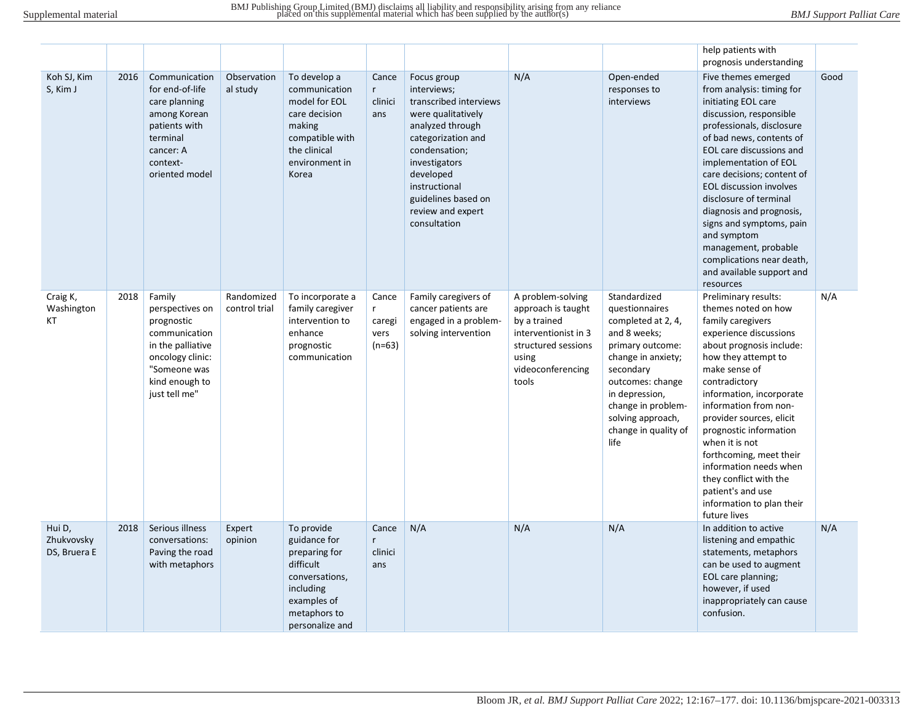|                                      |      |                                                                                                                                                      |                             |                                                                                                                                           |                                           |                                                                                                                                                                                                                                                  |                                                                                                                                               |                                                                                                                                                                                                                                              | help patients with                                                                                                                                                                                                                                                                                                                                                                                                                                                               |      |
|--------------------------------------|------|------------------------------------------------------------------------------------------------------------------------------------------------------|-----------------------------|-------------------------------------------------------------------------------------------------------------------------------------------|-------------------------------------------|--------------------------------------------------------------------------------------------------------------------------------------------------------------------------------------------------------------------------------------------------|-----------------------------------------------------------------------------------------------------------------------------------------------|----------------------------------------------------------------------------------------------------------------------------------------------------------------------------------------------------------------------------------------------|----------------------------------------------------------------------------------------------------------------------------------------------------------------------------------------------------------------------------------------------------------------------------------------------------------------------------------------------------------------------------------------------------------------------------------------------------------------------------------|------|
|                                      |      |                                                                                                                                                      |                             |                                                                                                                                           |                                           |                                                                                                                                                                                                                                                  |                                                                                                                                               |                                                                                                                                                                                                                                              | prognosis understanding                                                                                                                                                                                                                                                                                                                                                                                                                                                          |      |
| Koh SJ, Kim<br>S, Kim J              | 2016 | Communication<br>for end-of-life<br>care planning<br>among Korean<br>patients with<br>terminal<br>cancer: A<br>context-<br>oriented model            | Observation<br>al study     | To develop a<br>communication<br>model for EOL<br>care decision<br>making<br>compatible with<br>the clinical<br>environment in<br>Korea   | Cance<br>r<br>clinici<br>ans              | Focus group<br>interviews;<br>transcribed interviews<br>were qualitatively<br>analyzed through<br>categorization and<br>condensation;<br>investigators<br>developed<br>instructional<br>guidelines based on<br>review and expert<br>consultation | N/A                                                                                                                                           | Open-ended<br>responses to<br>interviews                                                                                                                                                                                                     | Five themes emerged<br>from analysis: timing for<br>initiating EOL care<br>discussion, responsible<br>professionals, disclosure<br>of bad news, contents of<br>EOL care discussions and<br>implementation of EOL<br>care decisions; content of<br><b>EOL discussion involves</b><br>disclosure of terminal<br>diagnosis and prognosis,<br>signs and symptoms, pain<br>and symptom<br>management, probable<br>complications near death,<br>and available support and<br>resources | Good |
| Craig K,<br>Washington<br>KT         | 2018 | Family<br>perspectives on<br>prognostic<br>communication<br>in the palliative<br>oncology clinic:<br>"Someone was<br>kind enough to<br>just tell me" | Randomized<br>control trial | To incorporate a<br>family caregiver<br>intervention to<br>enhance<br>prognostic<br>communication                                         | Cance<br>r.<br>caregi<br>vers<br>$(n=63)$ | Family caregivers of<br>cancer patients are<br>engaged in a problem-<br>solving intervention                                                                                                                                                     | A problem-solving<br>approach is taught<br>by a trained<br>interventionist in 3<br>structured sessions<br>using<br>videoconferencing<br>tools | Standardized<br>questionnaires<br>completed at 2, 4,<br>and 8 weeks;<br>primary outcome:<br>change in anxiety;<br>secondary<br>outcomes: change<br>in depression,<br>change in problem-<br>solving approach,<br>change in quality of<br>life | Preliminary results:<br>themes noted on how<br>family caregivers<br>experience discussions<br>about prognosis include:<br>how they attempt to<br>make sense of<br>contradictory<br>information, incorporate<br>information from non-<br>provider sources, elicit<br>prognostic information<br>when it is not<br>forthcoming, meet their<br>information needs when<br>they conflict with the<br>patient's and use<br>information to plan their<br>future lives                    | N/A  |
| Hui D,<br>Zhukvovsky<br>DS, Bruera E | 2018 | Serious illness<br>conversations:<br>Paving the road<br>with metaphors                                                                               | Expert<br>opinion           | To provide<br>guidance for<br>preparing for<br>difficult<br>conversations,<br>including<br>examples of<br>metaphors to<br>personalize and | Cance<br>r<br>clinici<br>ans              | N/A                                                                                                                                                                                                                                              | N/A                                                                                                                                           | N/A                                                                                                                                                                                                                                          | In addition to active<br>listening and empathic<br>statements, metaphors<br>can be used to augment<br>EOL care planning;<br>however, if used<br>inappropriately can cause<br>confusion.                                                                                                                                                                                                                                                                                          | N/A  |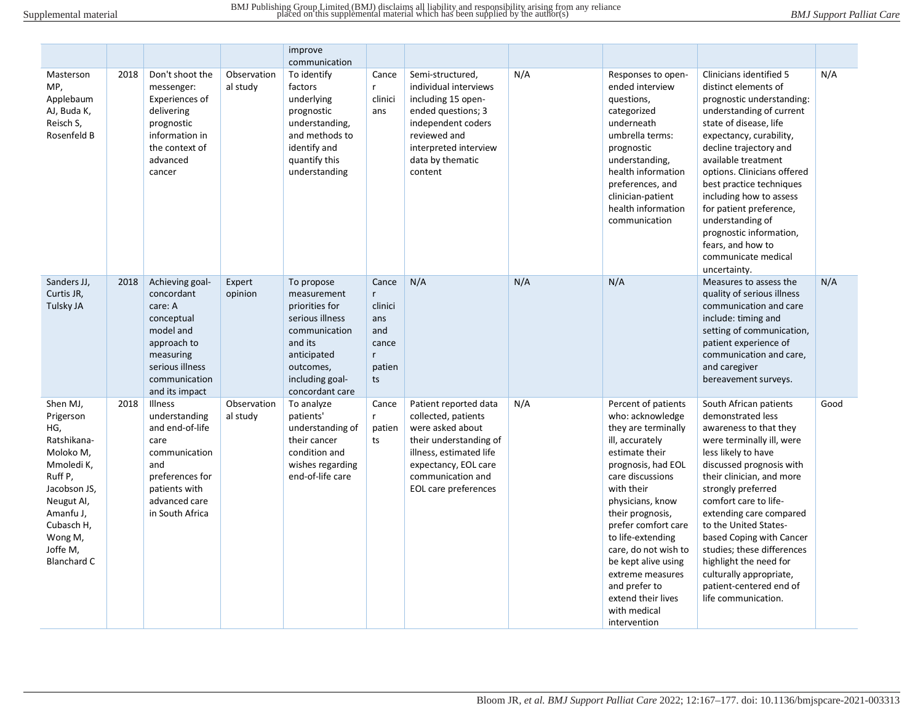|                                                                                                                                                                                         |      |                                                                                                                                                       |                         | improve<br>communication                                                                                                                                     |                                                                              |                                                                                                                                                                                            |     |                                                                                                                                                                                                                                                                                                                                                                                           |                                                                                                                                                                                                                                                                                                                                                                                                                                                        |      |
|-----------------------------------------------------------------------------------------------------------------------------------------------------------------------------------------|------|-------------------------------------------------------------------------------------------------------------------------------------------------------|-------------------------|--------------------------------------------------------------------------------------------------------------------------------------------------------------|------------------------------------------------------------------------------|--------------------------------------------------------------------------------------------------------------------------------------------------------------------------------------------|-----|-------------------------------------------------------------------------------------------------------------------------------------------------------------------------------------------------------------------------------------------------------------------------------------------------------------------------------------------------------------------------------------------|--------------------------------------------------------------------------------------------------------------------------------------------------------------------------------------------------------------------------------------------------------------------------------------------------------------------------------------------------------------------------------------------------------------------------------------------------------|------|
| Masterson<br>MP,<br>Applebaum<br>AJ, Buda K,<br>Reisch S,<br>Rosenfeld B                                                                                                                | 2018 | Don't shoot the<br>messenger:<br>Experiences of<br>delivering<br>prognostic<br>information in<br>the context of<br>advanced<br>cancer                 | Observation<br>al study | To identify<br>factors<br>underlying<br>prognostic<br>understanding,<br>and methods to<br>identify and<br>quantify this<br>understanding                     | Cance<br>$r_{\rm}$<br>clinici<br>ans                                         | Semi-structured,<br>individual interviews<br>including 15 open-<br>ended questions; 3<br>independent coders<br>reviewed and<br>interpreted interview<br>data by thematic<br>content        | N/A | Responses to open-<br>ended interview<br>questions,<br>categorized<br>underneath<br>umbrella terms:<br>prognostic<br>understanding,<br>health information<br>preferences, and<br>clinician-patient<br>health information<br>communication                                                                                                                                                 | Clinicians identified 5<br>distinct elements of<br>prognostic understanding:<br>understanding of current<br>state of disease, life<br>expectancy, curability,<br>decline trajectory and<br>available treatment<br>options. Clinicians offered<br>best practice techniques<br>including how to assess<br>for patient preference,<br>understanding of<br>prognostic information,<br>fears, and how to<br>communicate medical<br>uncertainty.             | N/A  |
| Sanders JJ,<br>Curtis JR,<br>Tulsky JA                                                                                                                                                  | 2018 | Achieving goal-<br>concordant<br>care: A<br>conceptual<br>model and<br>approach to<br>measuring<br>serious illness<br>communication<br>and its impact | Expert<br>opinion       | To propose<br>measurement<br>priorities for<br>serious illness<br>communication<br>and its<br>anticipated<br>outcomes,<br>including goal-<br>concordant care | Cance<br>$\mathsf{r}$<br>clinici<br>ans<br>and<br>cance<br>r<br>patien<br>ts | N/A                                                                                                                                                                                        | N/A | N/A                                                                                                                                                                                                                                                                                                                                                                                       | Measures to assess the<br>quality of serious illness<br>communication and care<br>include: timing and<br>setting of communication,<br>patient experience of<br>communication and care,<br>and caregiver<br>bereavement surveys.                                                                                                                                                                                                                        | N/A  |
| Shen MJ,<br>Prigerson<br>HG,<br>Ratshikana-<br>Moloko M,<br>Mmoledi K,<br>Ruff P,<br>Jacobson JS,<br>Neugut Al,<br>Amanfu J,<br>Cubasch H,<br>Wong M,<br>Joffe M,<br><b>Blanchard C</b> | 2018 | Illness<br>understanding<br>and end-of-life<br>care<br>communication<br>and<br>preferences for<br>patients with<br>advanced care<br>in South Africa   | Observation<br>al study | To analyze<br>patients'<br>understanding of<br>their cancer<br>condition and<br>wishes regarding<br>end-of-life care                                         | Cance<br>r<br>patien<br>ts                                                   | Patient reported data<br>collected, patients<br>were asked about<br>their understanding of<br>illness, estimated life<br>expectancy, EOL care<br>communication and<br>EOL care preferences | N/A | Percent of patients<br>who: acknowledge<br>they are terminally<br>ill, accurately<br>estimate their<br>prognosis, had EOL<br>care discussions<br>with their<br>physicians, know<br>their prognosis,<br>prefer comfort care<br>to life-extending<br>care, do not wish to<br>be kept alive using<br>extreme measures<br>and prefer to<br>extend their lives<br>with medical<br>intervention | South African patients<br>demonstrated less<br>awareness to that they<br>were terminally ill, were<br>less likely to have<br>discussed prognosis with<br>their clinician, and more<br>strongly preferred<br>comfort care to life-<br>extending care compared<br>to the United States-<br>based Coping with Cancer<br>studies; these differences<br>highlight the need for<br>culturally appropriate,<br>patient-centered end of<br>life communication. | Good |